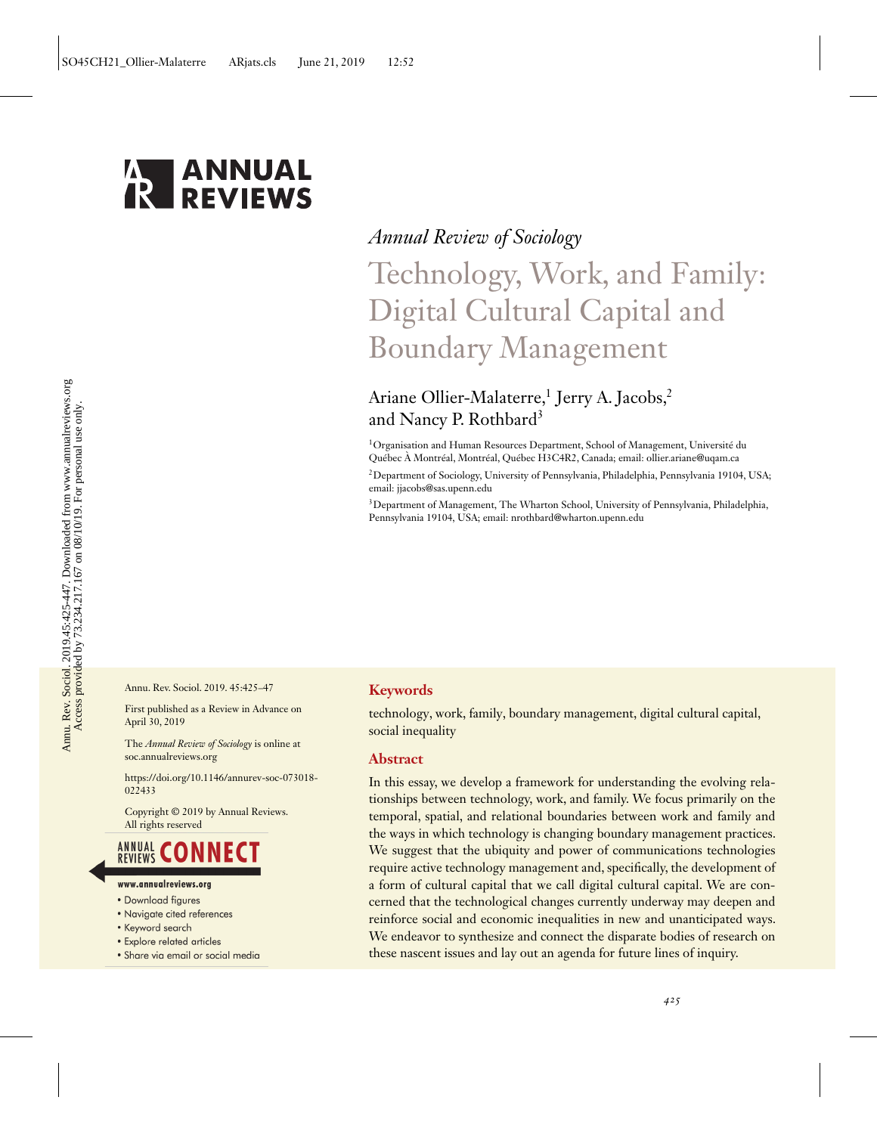# **ANNUAL**<br>**REVIEWS**

### *Annual Review of Sociology*

# Technology, Work, and Family: Digital Cultural Capital and Boundary Management

### Ariane Ollier-Malaterre,<sup>1</sup> Jerry A. Jacobs,<sup>2</sup> and Nancy P. Rothbard<sup>3</sup>

<sup>1</sup>Organisation and Human Resources Department, School of Management, Université du Québec À Montréal, Montréal, Québec H3C4R2, Canada; email: [ollier.ariane@uqam.ca](mailto:ollier.ariane@uqam.ca)

2Department of Sociology, University of Pennsylvania, Philadelphia, Pennsylvania 19104, USA; email: [jjacobs@sas.upenn.edu](mailto:jjacobs@sas.upenn.edu)

<sup>3</sup>Department of Management, The Wharton School, University of Pennsylvania, Philadelphia, Pennsylvania 19104, USA; email: [nrothbard@wharton.upenn.edu](mailto:nrothbard@wharton.upenn.edu)

Annu. Rev. Sociol. 2019. 45:425–47

First published as a Review in Advance on April 30, 2019

The *Annual Review of Sociology* is online at soc.annualreviews.org

[https://doi.org/10.1146/annurev-soc-073018-](https://doi.org/10.1146/annurev-soc-073018-022433) 022433

Copyright © 2019 by Annual Reviews. [All rights reserved](https://www.annualreviews.org/doi/full/10.1146/annurev-soc-073018-022433)

## **ANNUAL CONNECT**

- www.annualreviews.org
- · Download figures
- Navigate cited references
- Keyword search
- Explore related articles
- · Share via email or social media

#### **Keywords**

technology, work, family, boundary management, digital cultural capital, social inequality

#### **Abstract**

In this essay, we develop a framework for understanding the evolving relationships between technology, work, and family. We focus primarily on the temporal, spatial, and relational boundaries between work and family and the ways in which technology is changing boundary management practices. We suggest that the ubiquity and power of communications technologies require active technology management and, specifically, the development of a form of cultural capital that we call digital cultural capital. We are concerned that the technological changes currently underway may deepen and reinforce social and economic inequalities in new and unanticipated ways. We endeavor to synthesize and connect the disparate bodies of research on these nascent issues and lay out an agenda for future lines of inquiry.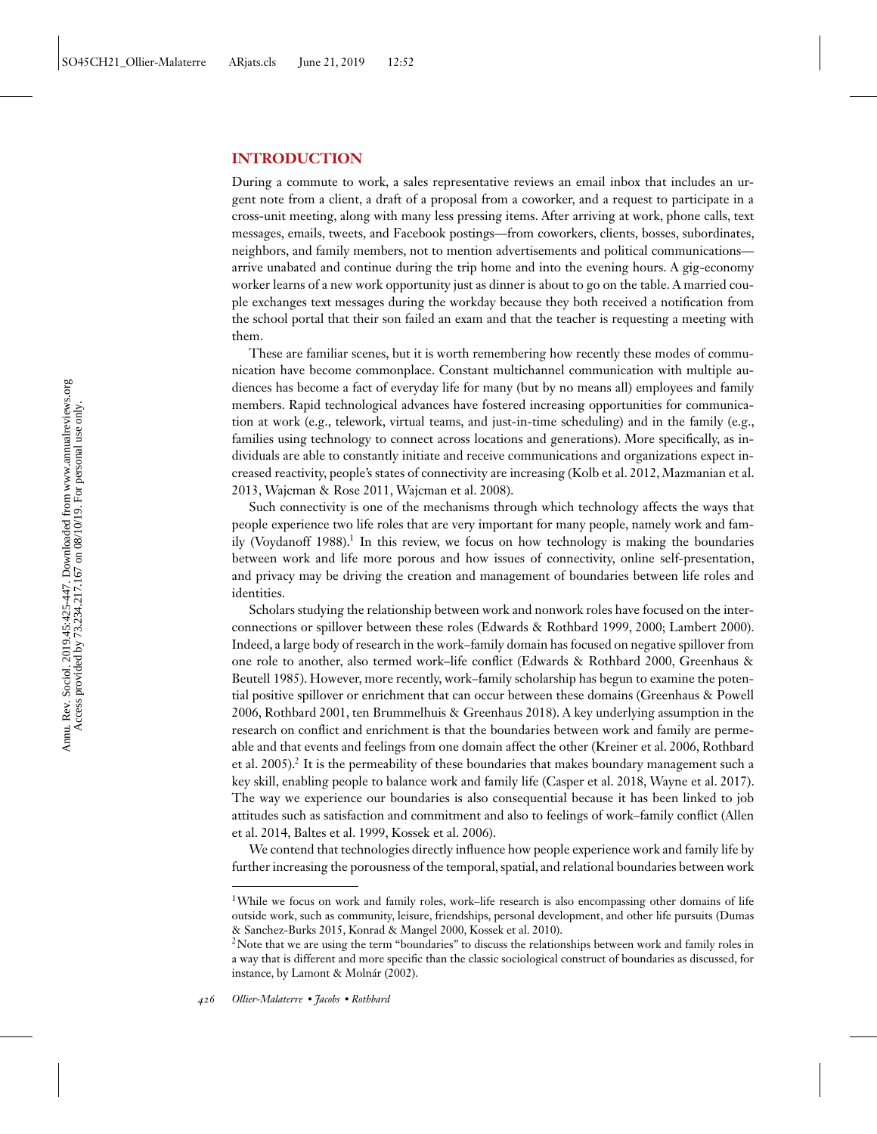#### **INTRODUCTION**

During a commute to work, a sales representative reviews an email inbox that includes an urgent note from a client, a draft of a proposal from a coworker, and a request to participate in a cross-unit meeting, along with many less pressing items. After arriving at work, phone calls, text messages, emails, tweets, and Facebook postings—from coworkers, clients, bosses, subordinates, neighbors, and family members, not to mention advertisements and political communications arrive unabated and continue during the trip home and into the evening hours. A gig-economy worker learns of a new work opportunity just as dinner is about to go on the table. A married couple exchanges text messages during the workday because they both received a notification from the school portal that their son failed an exam and that the teacher is requesting a meeting with them.

These are familiar scenes, but it is worth remembering how recently these modes of communication have become commonplace. Constant multichannel communication with multiple audiences has become a fact of everyday life for many (but by no means all) employees and family members. Rapid technological advances have fostered increasing opportunities for communication at work (e.g., telework, virtual teams, and just-in-time scheduling) and in the family (e.g., families using technology to connect across locations and generations). More specifically, as individuals are able to constantly initiate and receive communications and organizations expect in[creased reactivity, people's states of connectivity are increasing \(](#page-19-0)[Kolb et al. 2012](#page-18-0)[, Mazmanian et al.](#page-19-0) 2013, [Wajcman & Rose 2011, Wajcman et al. 2008\)](#page-21-0).

Such connectivity is one of the mechanisms through which technology affects the ways that people experience two life roles that are very important for many people, namely work and family (Voydanoff  $1988$ ).<sup>1</sup> In this review, we focus on how technology is making the boundaries between work and life more porous and how issues of connectivity, online self-presentation, and privacy may be driving the creation and management of boundaries between life roles and identities.

Scholars studying the relationship between work and nonwork roles have focused on the interconnections or spillover between these roles [\(Edwards & Rothbard 1999, 2000;](#page-17-0) [Lambert 2000\)](#page-19-0). Indeed, a large body of research in the work–family domain has focused on negative spillover from one role to another, also termed work–life conflict [\(Edwards & Rothbard 2000,](#page-17-0) Greenhaus & [Beutell 1985\). However, more recently, work–family scholarship has begun to examine the poten](#page-18-0)tial positive spillover or enrichment that can occur between these domains (Greenhaus & Powell [2006, Rothbard 2001, ten Brummelhuis & Greenhaus 2018\). A key underlying assumption in the](#page-18-0) research on conflict and enrichment is that the boundaries between work and family are perme[able and that events and feelings from one domain affect the other \(](#page-21-0)[Kreiner et al. 2006](#page-19-0)[, Rothbard](#page-21-0) et al. 2005).<sup>2</sup> It is the permeability of these boundaries that makes boundary management such a key skill, enabling people to balance work and family life [\(Casper et al. 2018,](#page-17-0) [Wayne et al. 2017\)](#page-22-0). The way we experience our boundaries is also consequential because it has been linked to job [attitudes such as satisfaction and commitment and also to feelings of work–family conflict \(Allen](#page-15-0) et al. 2014, [Baltes et al. 1999,](#page-16-0) [Kossek et al. 2006\)](#page-18-0).

We contend that technologies directly influence how people experience work and family life by further increasing the porousness of the temporal, spatial, and relational boundaries between work

<sup>1</sup>While we focus on work and family roles, work–life research is also encompassing other domains of life [outside work, such as community, leisure, friendships, personal development, and other life pursuits \(Dumas](#page-17-0) & Sanchez-Burks 2015, [Konrad & Mangel 2000, Kossek et al. 2010\)](#page-18-0).

<sup>&</sup>lt;sup>2</sup>Note that we are using the term "boundaries" to discuss the relationships between work and family roles in a way that is different and more specific than the classic sociological construct of boundaries as discussed, for instance, by [Lamont & Molnár \(2002\)](#page-18-0).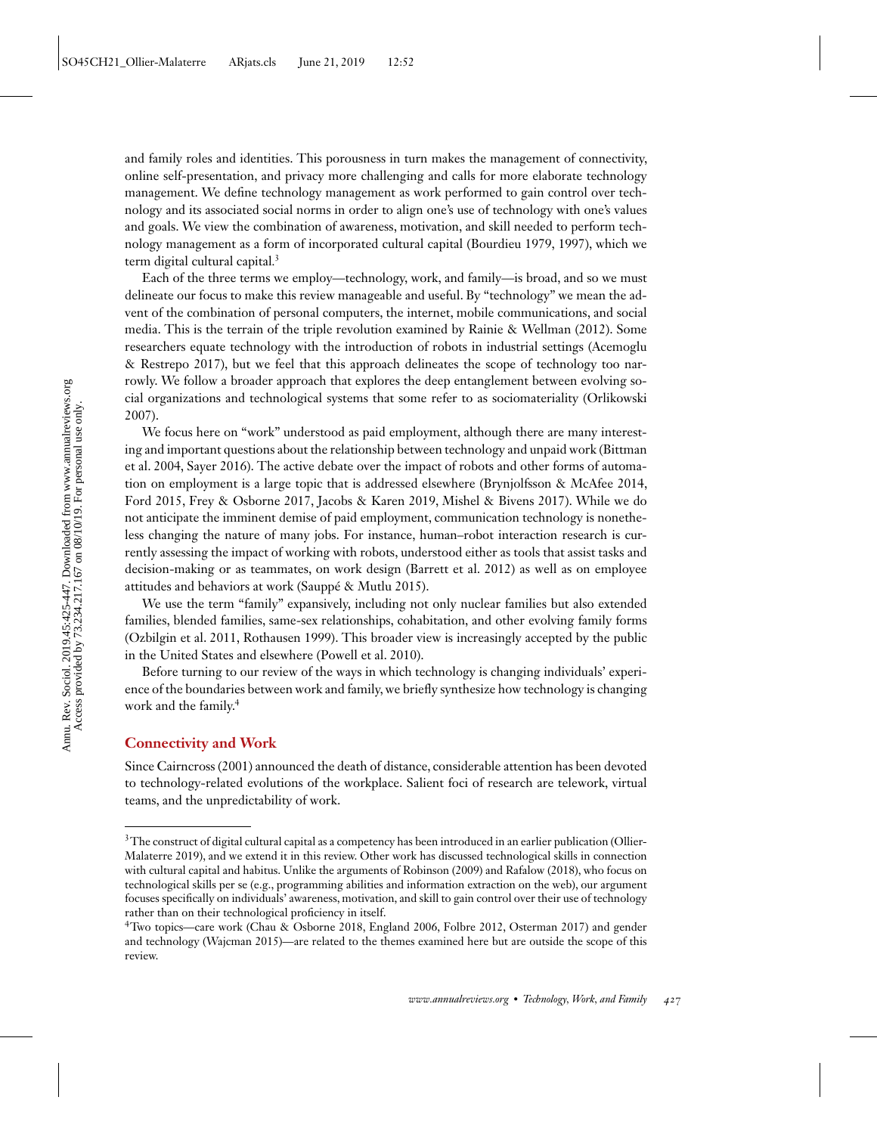and family roles and identities. This porousness in turn makes the management of connectivity, online self-presentation, and privacy more challenging and calls for more elaborate technology management. We define technology management as work performed to gain control over technology and its associated social norms in order to align one's use of technology with one's values and goals. We view the combination of awareness, motivation, and skill needed to perform technology management as a form of incorporated cultural capital [\(Bourdieu 1979, 1997\)](#page-16-0), which we term digital cultural capital*.* 3

Each of the three terms we employ—technology, work, and family—is broad, and so we must delineate our focus to make this review manageable and useful. By "technology" we mean the advent of the combination of personal computers, the internet, mobile communications, and social media. This is the terrain of the triple revolution examined by [Rainie & Wellman \(2012\).](#page-20-0) Some [researchers equate technology with the introduction of robots in industrial settings \(Acemoglu](#page-15-0) & Restrepo 2017), but we feel that this approach delineates the scope of technology too narrowly. We follow a broader approach that explores the deep entanglement between evolving so[cial organizations and technological systems that some refer to as sociomateriality \(Orlikowski](#page-20-0) 2007).

We focus here on "work" understood as paid employment, although there are many interest[ing and important questions about the relationship between technology and unpaid work \(Bittman](#page-16-0) et al. 2004, [Sayer 2016\)](#page-21-0). The active debate over the impact of robots and other forms of automation on employment is a large topic that is addressed elsewhere [\(Brynjolfsson & McAfee 2014,](#page-16-0) [Ford 2015,](#page-17-0) [Frey & Osborne 2017, Jacobs & Karen 2019,](#page-18-0) [Mishel & Bivens 2017\)](#page-19-0). While we do not anticipate the imminent demise of paid employment, communication technology is nonetheless changing the nature of many jobs. For instance, human–robot interaction research is currently assessing the impact of working with robots, understood either as tools that assist tasks and decision-making or as teammates, on work design [\(Barrett et al. 2012\)](#page-16-0) as well as on employee attitudes and behaviors at work [\(Sauppé & Mutlu 2015\)](#page-21-0).

We use the term "family" expansively, including not only nuclear families but also extended families, blended families, same-sex relationships, cohabitation, and other evolving family forms [\(Ozbilgin et al. 2011, Rothausen 1999\)](#page-20-0). This broader view is increasingly accepted by the public in the United States and elsewhere [\(Powell et al. 2010\)](#page-20-0).

Before turning to our review of the ways in which technology is changing individuals' experience of the boundaries between work and family, we briefly synthesize how technology is changing work and the family.<sup>4</sup>

#### **Connectivity and Work**

Since [Cairncross \(2001\)](#page-16-0) announced the death of distance, considerable attention has been devoted to technology-related evolutions of the workplace. Salient foci of research are telework, virtual teams, and the unpredictability of work.

 $3$ The construct of digital cultural capital as a competency has been introduced in an earlier publication (Ollier-Malaterre 2019), and we extend it in this review. Other work has discussed technological skills in connection with cultural capital and habitus. Unlike the arguments of [Robinson \(2009\)](#page-20-0) and [Rafalow \(2018\),](#page-20-0) who focus on technological skills per se (e.g., programming abilities and information extraction on the web), our argument focuses specifically on individuals' awareness, motivation, and skill to gain control over their use of technology rather than on their technological proficiency in itself.

<sup>4</sup>Two topics—care work [\(Chau & Osborne 2018, England 2006, Folbre 2012,](#page-17-0) [Osterman 2017\)](#page-19-0) and gender and technology [\(Wajcman 2015\)](#page-21-0)—are related to the themes examined here but are outside the scope of this review.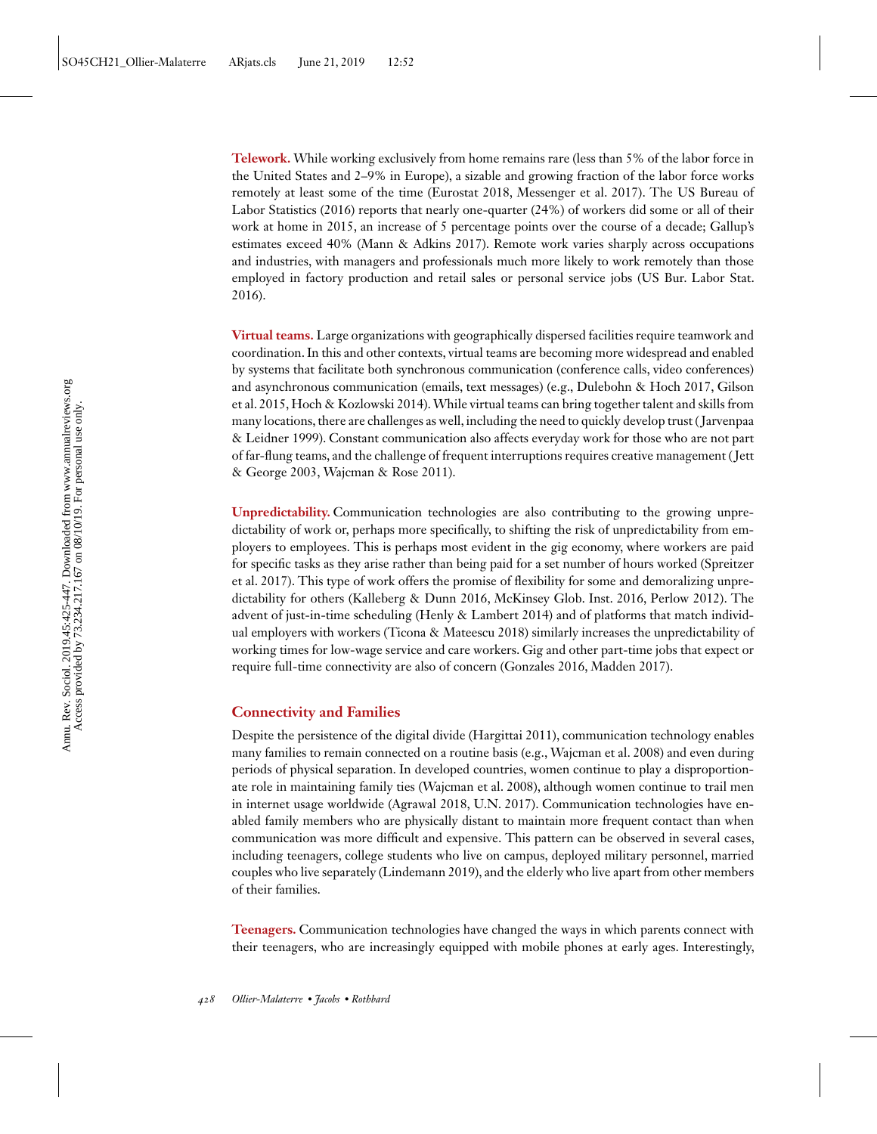**Telework.** While working exclusively from home remains rare (less than 5% of the labor force in the United States and 2–9% in Europe), a sizable and growing fraction of the labor force works remotely at least some of the time [\(Eurostat 2018,](#page-17-0) [Messenger et al. 2017\)](#page-19-0). The US Bureau of [Labor Statistics \(2016\)](#page-21-0) reports that nearly one-quarter (24%) of workers did some or all of their work at home in 2015, an increase of 5 percentage points over the course of a decade; Gallup's estimates exceed 40% [\(Mann & Adkins 2017\)](#page-19-0). Remote work varies sharply across occupations and industries, with managers and professionals much more likely to work remotely than those [employed in factory production and retail sales or personal service jobs \(US Bur. Labor Stat.](#page-21-0) 2016).

**Virtual teams.** Large organizations with geographically dispersed facilities require teamwork and coordination. In this and other contexts, virtual teams are becoming more widespread and enabled by systems that facilitate both synchronous communication (conference calls, video conferences) and asynchronous communication (emails, text messages) (e.g., [Dulebohn & Hoch 2017,](#page-17-0) Gilson [et al. 2015, Hoch & Kozlowski 2014\).While virtual teams can bring together talent and skills from](#page-18-0) [many locations, there are challenges as well, including the need to quickly develop trust \( Jarvenpaa](#page-18-0) & Leidner 1999). Constant communication also affects everyday work for those who are not part [of far-flung teams, and the challenge of frequent interruptions requires creative management \( Jett](#page-18-0) & George 2003, [Wajcman & Rose 2011\)](#page-21-0).

**Unpredictability.** Communication technologies are also contributing to the growing unpredictability of work or, perhaps more specifically, to shifting the risk of unpredictability from employers to employees. This is perhaps most evident in the gig economy, where workers are paid [for specific tasks as they arise rather than being paid for a set number of hours worked \(Spreitzer](#page-21-0) et al. 2017). This type of work offers the promise of flexibility for some and demoralizing unpredictability for others [\(Kalleberg & Dunn 2016,](#page-18-0) McKinsey Glob. Inst. [2016,](#page-19-0) [Perlow 2012\)](#page-20-0). The advent of just-in-time scheduling [\(Henly & Lambert 2014\)](#page-18-0) and of platforms that match individual employers with workers [\(Ticona & Mateescu 2018\)](#page-21-0) similarly increases the unpredictability of working times for low-wage service and care workers. Gig and other part-time jobs that expect or require full-time connectivity are also of concern [\(Gonzales 2016,](#page-18-0) [Madden 2017\)](#page-19-0).

#### **Connectivity and Families**

Despite the persistence of the digital divide [\(Hargittai 2011\)](#page-18-0), communication technology enables many families to remain connected on a routine basis (e.g., [Wajcman et al. 2008\)](#page-21-0) and even during periods of physical separation. In developed countries, women continue to play a disproportionate role in maintaining family ties [\(Wajcman et al. 2008\)](#page-21-0), although women continue to trail men in internet usage worldwide [\(Agrawal 2018,](#page-15-0) U.N. [2017\)](#page-21-0). Communication technologies have enabled family members who are physically distant to maintain more frequent contact than when communication was more difficult and expensive. This pattern can be observed in several cases, including teenagers, college students who live on campus, deployed military personnel, married couples who live separately [\(Lindemann 2019\)](#page-19-0), and the elderly who live apart from other members of their families.

**Teenagers.** Communication technologies have changed the ways in which parents connect with their teenagers, who are increasingly equipped with mobile phones at early ages. Interestingly,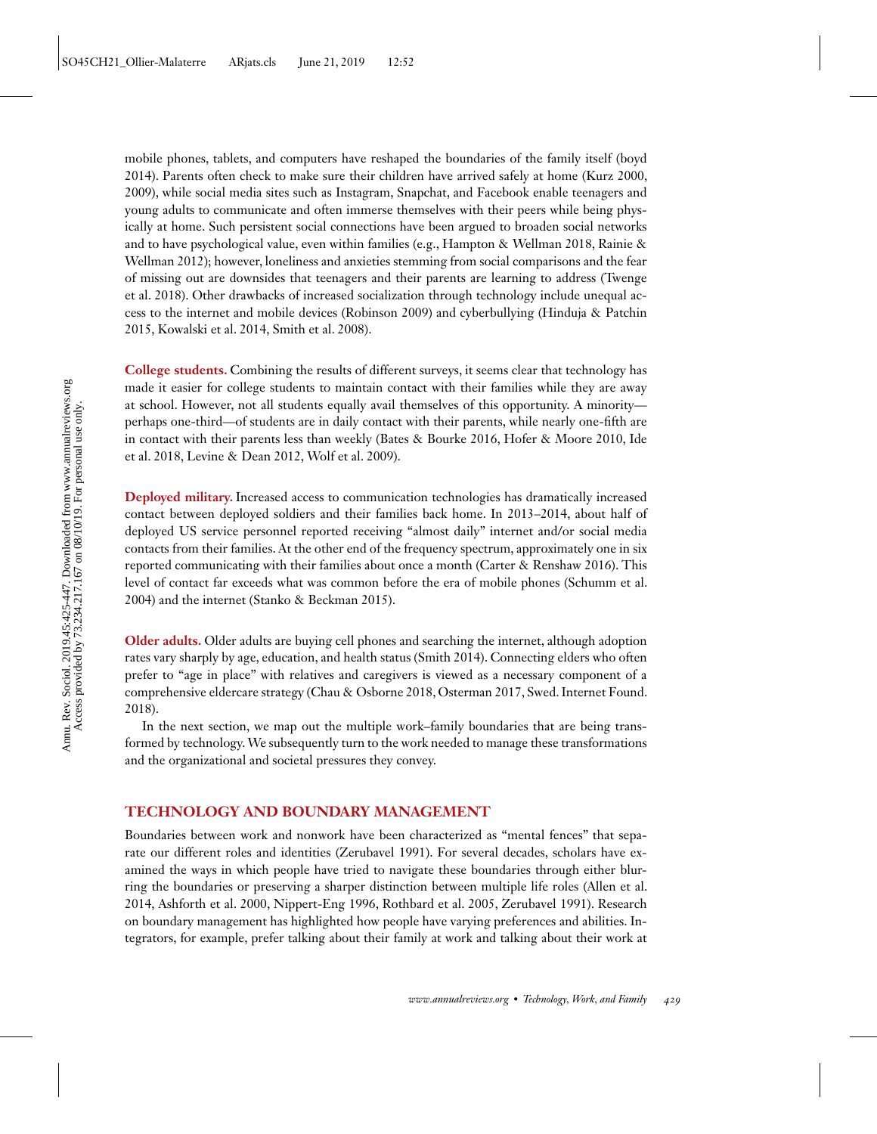mobile phones, tablets, and computers have reshaped the boundaries of the family itself (boyd [2014\). Parents often check to make sure their children have arrived safely at home \(Kurz 2000,](#page-16-0) [2009\)](#page-19-0), while social media sites such as Instagram, Snapchat, and Facebook enable teenagers and young adults to communicate and often immerse themselves with their peers while being physically at home. Such persistent social connections have been argued to broaden social networks and to have psychological value, even within families (e.g., [Hampton & Wellman 2018,](#page-18-0) Rainie & [Wellman 2012\); however, loneliness and anxieties stemming from social comparisons and the fear](#page-20-0) [of missing out are downsides that teenagers and their parents are learning to address \(Twenge](#page-21-0) et al. 2018). Other drawbacks of increased socialization through technology include unequal ac[cess to the internet and mobile devices \(](#page-18-0)[Robinson 2009](#page-20-0)[\) and cyberbullying \(Hinduja & Patchin](#page-18-0) 2015, [Kowalski et al. 2014,](#page-18-0) [Smith et al. 2008\)](#page-21-0).

**College students.** Combining the results of different surveys, it seems clear that technology has made it easier for college students to maintain contact with their families while they are away at school. However, not all students equally avail themselves of this opportunity. A minority perhaps one-third—of students are in daily contact with their parents, while nearly one-fifth are [in contact with their parents less than weekly \(](#page-18-0)[Bates & Bourke 2016](#page-16-0)[, Hofer & Moore 2010, Ide](#page-18-0) et al. 2018, [Levine & Dean 2012,](#page-19-0) [Wolf et al. 2009\)](#page-22-0).

**Deployed military.** Increased access to communication technologies has dramatically increased contact between deployed soldiers and their families back home. In 2013–2014, about half of deployed US service personnel reported receiving "almost daily" internet and/or social media contacts from their families. At the other end of the frequency spectrum, approximately one in six reported communicating with their families about once a month [\(Carter & Renshaw 2016\)](#page-17-0). This [level of contact far exceeds what was common before the era of mobile phones \(Schumm et al.](#page-21-0) 2004) and the internet [\(Stanko & Beckman 2015\)](#page-21-0).

**Older adults.** Older adults are buying cell phones and searching the internet, although adoption rates vary sharply by age, education, and health status [\(Smith 2014\)](#page-21-0). Connecting elders who often prefer to "age in place" with relatives and caregivers is viewed as a necessary component of a [comprehensive eldercare strategy \(](#page-21-0)[Chau & Osborne 2018](#page-17-0)[,](#page-21-0) [Osterman 2017](#page-20-0)[, Swed. Internet Found.](#page-21-0) 2018).

In the next section, we map out the multiple work–family boundaries that are being transformed by technology.We subsequently turn to the work needed to manage these transformations and the organizational and societal pressures they convey.

#### **TECHNOLOGY AND BOUNDARY MANAGEMENT**

Boundaries between work and nonwork have been characterized as "mental fences" that separate our different roles and identities [\(Zerubavel 1991\)](#page-22-0). For several decades, scholars have examined the ways in which people have tried to navigate these boundaries through either blur[ring the boundaries or preserving a sharper distinction between multiple life roles \(Allen et al.](#page-15-0) 2014, [Ashforth et al. 2000,](#page-16-0) [Nippert-Eng 1996,](#page-20-0) [Rothbard et al. 2005,](#page-21-0) [Zerubavel 1991\)](#page-22-0). Research on boundary management has highlighted how people have varying preferences and abilities. Integrators, for example, prefer talking about their family at work and talking about their work at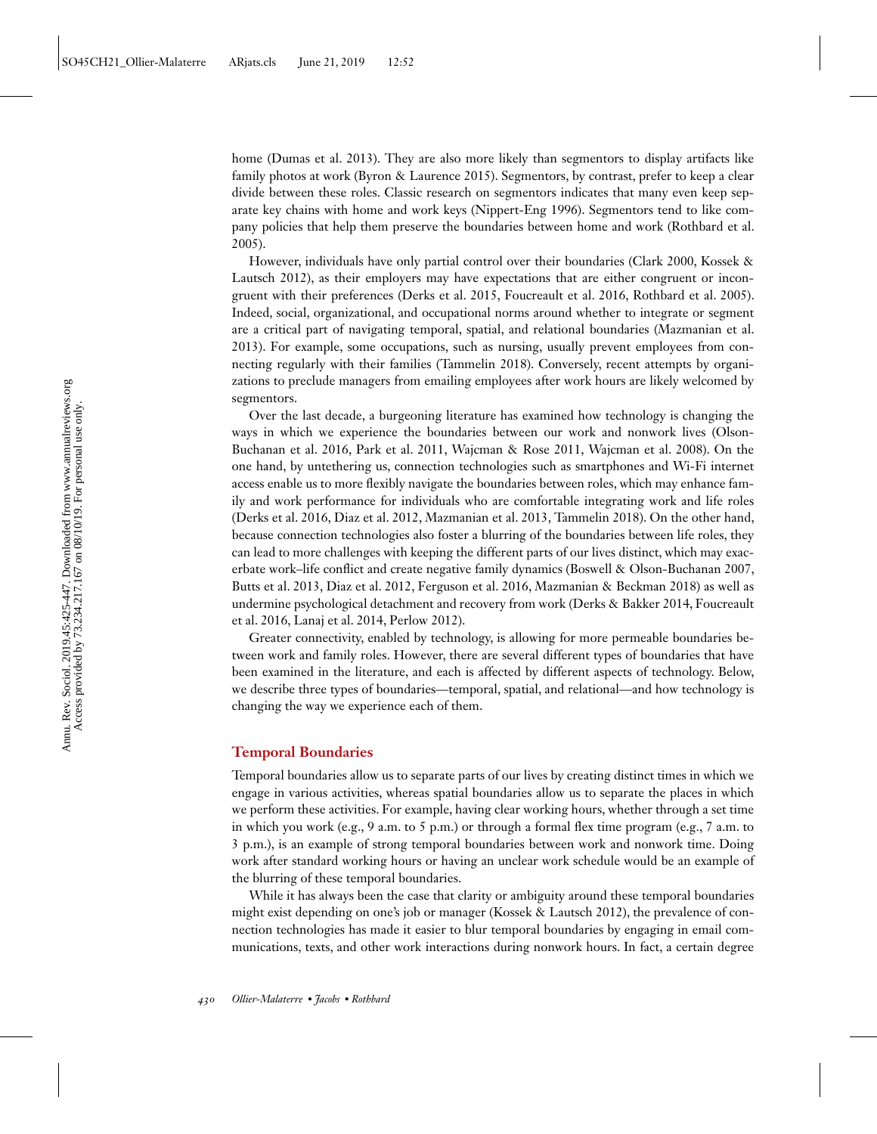home [\(Dumas et al. 2013\)](#page-17-0). They are also more likely than segmentors to display artifacts like family photos at work [\(Byron & Laurence 2015\)](#page-16-0). Segmentors, by contrast, prefer to keep a clear divide between these roles. Classic research on segmentors indicates that many even keep separate key chains with home and work keys [\(Nippert-Eng 1996\)](#page-20-0). Segmentors tend to like com[pany policies that help them preserve the boundaries between home and work \(Rothbard et al.](#page-21-0) 2005).

However, individuals have only partial control over their boundaries [\(Clark 2000,](#page-17-0) Kossek & [Lautsch 2012\), as their employers may have expectations that are either congruent or incon](#page-18-0)gruent with their preferences [\(Derks et al. 2015,](#page-17-0) [Foucreault et al. 2016,](#page-18-0) [Rothbard et al. 2005\)](#page-21-0). Indeed, social, organizational, and occupational norms around whether to integrate or segment [are a critical part of navigating temporal, spatial, and relational boundaries \(Mazmanian et al.](#page-19-0) 2013). For example, some occupations, such as nursing, usually prevent employees from connecting regularly with their families [\(Tammelin 2018\)](#page-21-0). Conversely, recent attempts by organizations to preclude managers from emailing employees after work hours are likely welcomed by segmentors.

Over the last decade, a burgeoning literature has examined how technology is changing the ways in which we experience the boundaries between our work and nonwork lives (Olson-[Buchanan et al. 2016, Park et al. 2011, Wajcman & Rose 2011, Wajcman et al. 2008\). On the](#page-20-0) one hand, by untethering us, connection technologies such as smartphones and Wi-Fi internet access enable us to more flexibly navigate the boundaries between roles, which may enhance family and work performance for individuals who are comfortable integrating work and life roles [\(Derks et al. 2016, Diaz et al. 2012,](#page-17-0) [Mazmanian et al. 2013,](#page-19-0) [Tammelin 2018\)](#page-21-0). On the other hand, because connection technologies also foster a blurring of the boundaries between life roles, they can lead to more challenges with keeping the different parts of our lives distinct, which may exacerbate work–life conflict and create negative family dynamics [\(Boswell & Olson-Buchanan 2007,](#page-16-0) [Butts et al. 2013,](#page-16-0) [Diaz et al. 2012, Ferguson et al. 2016,](#page-17-0) [Mazmanian & Beckman 2018\)](#page-19-0) as well as [undermine psychological detachment and recovery from work \(](#page-18-0)[Derks & Bakker 2014](#page-17-0)[, Foucreault](#page-18-0) et al. 2016, [Lanaj et al. 2014,](#page-19-0) [Perlow 2012\)](#page-20-0).

Greater connectivity, enabled by technology, is allowing for more permeable boundaries between work and family roles. However, there are several different types of boundaries that have been examined in the literature, and each is affected by different aspects of technology. Below, we describe three types of boundaries—temporal, spatial, and relational—and how technology is changing the way we experience each of them.

#### **Temporal Boundaries**

Temporal boundaries allow us to separate parts of our lives by creating distinct times in which we engage in various activities, whereas spatial boundaries allow us to separate the places in which we perform these activities. For example, having clear working hours, whether through a set time in which you work (e.g., 9 a.m. to 5 p.m.) or through a formal flex time program (e.g., 7 a.m. to 3 p.m.), is an example of strong temporal boundaries between work and nonwork time. Doing work after standard working hours or having an unclear work schedule would be an example of the blurring of these temporal boundaries.

While it has always been the case that clarity or ambiguity around these temporal boundaries might exist depending on one's job or manager [\(Kossek & Lautsch 2012\)](#page-18-0), the prevalence of connection technologies has made it easier to blur temporal boundaries by engaging in email communications, texts, and other work interactions during nonwork hours. In fact, a certain degree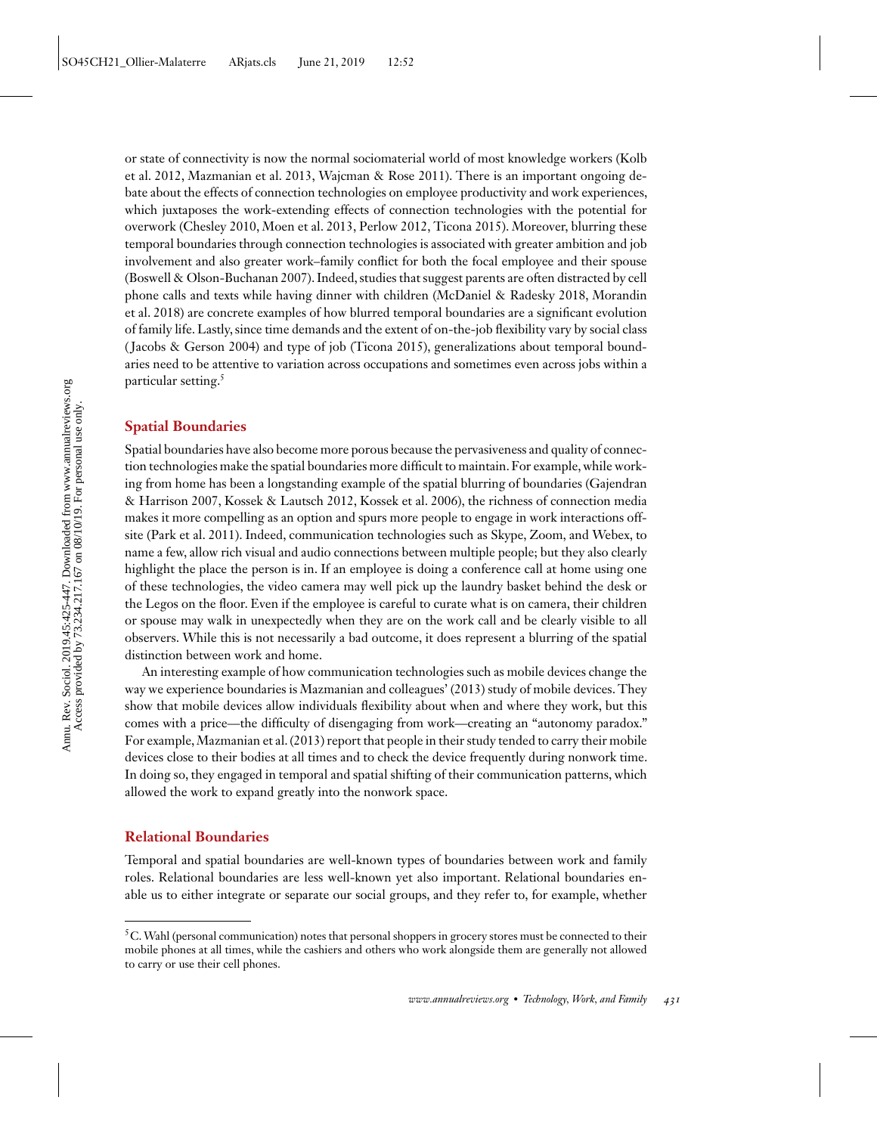[or state of connectivity is now the normal sociomaterial world of most knowledge workers \(Kolb](#page-18-0) et al. 2012, [Mazmanian et al. 2013,](#page-19-0) [Wajcman & Rose 2011\)](#page-21-0). There is an important ongoing debate about the effects of connection technologies on employee productivity and work experiences, which juxtaposes the work-extending effects of connection technologies with the potential for overwork [\(Chesley 2010,](#page-17-0) [Moen et al. 2013,](#page-19-0) [Perlow 2012,](#page-20-0) [Ticona 2015\)](#page-21-0). Moreover, blurring these temporal boundaries through connection technologies is associated with greater ambition and job involvement and also greater work–family conflict for both the focal employee and their spouse [\(Boswell & Olson-Buchanan 2007\)](#page-16-0). Indeed, studies that suggest parents are often distracted by cell [phone calls and texts while having dinner with children \(McDaniel & Radesky 2018, Morandin](#page-19-0) et al. 2018) are concrete examples of how blurred temporal boundaries are a significant evolution of family life. Lastly, since time demands and the extent of on-the-job flexibility vary by social class [\( Jacobs & Gerson 2004\)](#page-18-0) and type of job [\(Ticona 2015\)](#page-21-0), generalizations about temporal boundaries need to be attentive to variation across occupations and sometimes even across jobs within a particular setting.<sup>5</sup>

#### **Spatial Boundaries**

Spatial boundaries have also become more porous because the pervasiveness and quality of connection technologies make the spatial boundaries more difficult to maintain. For example, while working from home has been a longstanding example of the spatial blurring of boundaries (Gajendran [& Harrison 2007, Kossek & Lautsch 2012, Kossek et al. 2006\), the richness of connection media](#page-18-0) makes it more compelling as an option and spurs more people to engage in work interactions offsite [\(Park et al. 2011\)](#page-20-0). Indeed, communication technologies such as Skype, Zoom, and Webex, to name a few, allow rich visual and audio connections between multiple people; but they also clearly highlight the place the person is in. If an employee is doing a conference call at home using one of these technologies, the video camera may well pick up the laundry basket behind the desk or the Legos on the floor. Even if the employee is careful to curate what is on camera, their children or spouse may walk in unexpectedly when they are on the work call and be clearly visible to all observers. While this is not necessarily a bad outcome, it does represent a blurring of the spatial distinction between work and home.

An interesting example of how communication technologies such as mobile devices change the way we experience boundaries is [Mazmanian and colleagues' \(2013\)](#page-19-0) study of mobile devices. They show that mobile devices allow individuals flexibility about when and where they work, but this comes with a price—the difficulty of disengaging from work—creating an "autonomy paradox." For example[,Mazmanian et al. \(2013\)](#page-19-0) report that people in their study tended to carry their mobile devices close to their bodies at all times and to check the device frequently during nonwork time. In doing so, they engaged in temporal and spatial shifting of their communication patterns, which allowed the work to expand greatly into the nonwork space.

#### **Relational Boundaries**

Temporal and spatial boundaries are well-known types of boundaries between work and family roles. Relational boundaries are less well-known yet also important. Relational boundaries enable us to either integrate or separate our social groups, and they refer to, for example, whether

Annu. Rev. Sociol. 2019.45:425-447. Downloaded from www.annualreviews.org<br>Access provided by 73.234.217.167 on 08/10/19. For personal use only. Annu. Rev. Sociol. 2019.45:425-447. Downloaded from www.annualreviews.org Access provided by 73.234.217.167 on 08/10/19. For personal use only.

<sup>5</sup>C.[Wahl \(personal communication\)](#page-21-0) notes that personal shoppers in grocery stores must be connected to their mobile phones at all times, while the cashiers and others who work alongside them are generally not allowed to carry or use their cell phones.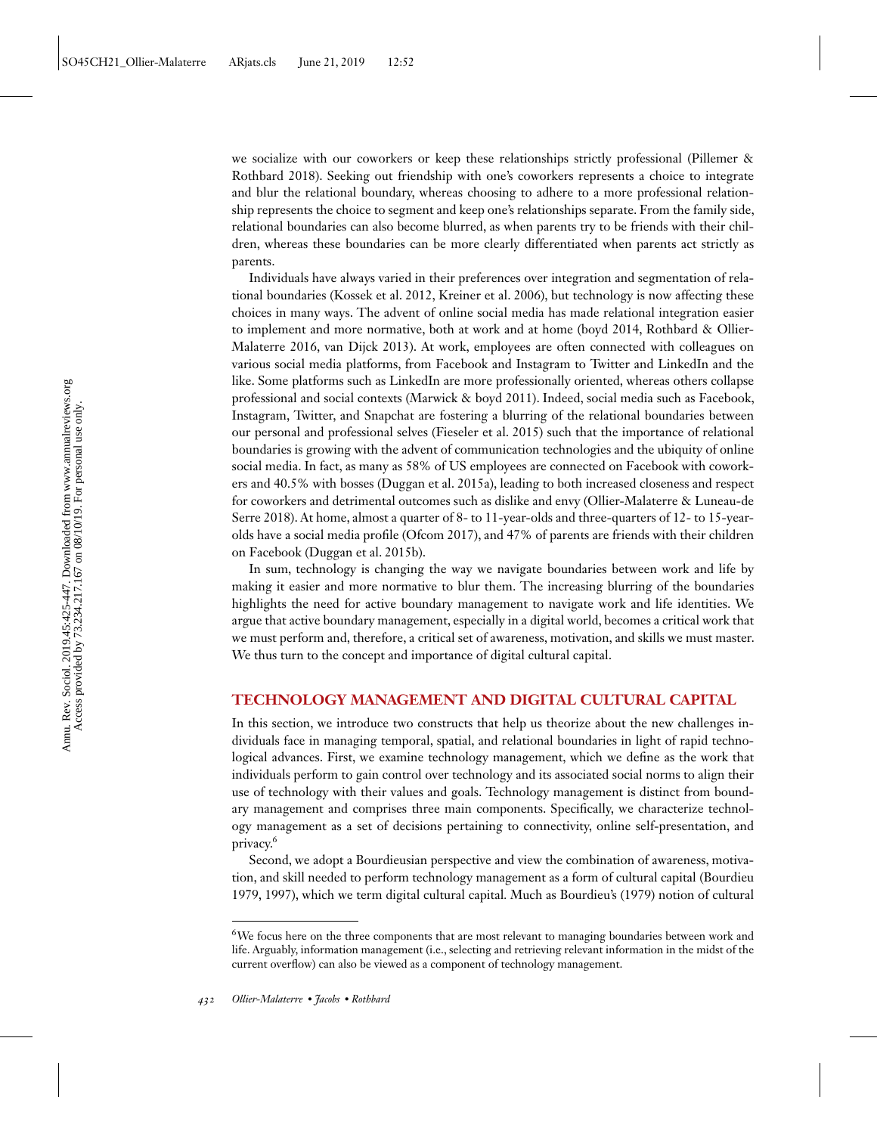we socialize with our coworkers or keep these relationships strictly professional (Pillemer & [Rothbard 2018\). Seeking out friendship with one's coworkers represents a choice to integrate](#page-20-0) and blur the relational boundary, whereas choosing to adhere to a more professional relationship represents the choice to segment and keep one's relationships separate. From the family side, relational boundaries can also become blurred, as when parents try to be friends with their children, whereas these boundaries can be more clearly differentiated when parents act strictly as parents.

Individuals have always varied in their preferences over integration and segmentation of relational boundaries [\(Kossek et al. 2012,](#page-18-0) [Kreiner et al. 2006\)](#page-19-0), but technology is now affecting these choices in many ways. The advent of online social media has made relational integration easier [to implement and more normative, both at work and at home \(](#page-20-0)[boyd 2014](#page-16-0)[, Rothbard & Ollier-](#page-20-0)Malaterre 2016, [van Dijck 2013\)](#page-21-0). At work, employees are often connected with colleagues on various social media platforms, from Facebook and Instagram to Twitter and LinkedIn and the like. Some platforms such as LinkedIn are more professionally oriented, whereas others collapse professional and social contexts [\(Marwick & boyd 2011\)](#page-19-0). Indeed, social media such as Facebook, Instagram, Twitter, and Snapchat are fostering a blurring of the relational boundaries between our personal and professional selves [\(Fieseler et al. 2015\)](#page-17-0) such that the importance of relational boundaries is growing with the advent of communication technologies and the ubiquity of online social media. In fact, as many as 58% of US employees are connected on Facebook with coworkers and 40.5% with bosses [\(Duggan et al. 2015a\)](#page-17-0), leading to both increased closeness and respect [for coworkers and detrimental outcomes such as dislike and envy \(Ollier-Malaterre & Luneau-de](#page-20-0) Serre 2018). At home, almost a quarter of 8- to 11-year-olds and three-quarters of 12- to 15-yearolds have a social media profile [\(Ofcom 2017\)](#page-20-0), and 47% of parents are friends with their children on Facebook [\(Duggan et al. 2015b\)](#page-17-0).

In sum, technology is changing the way we navigate boundaries between work and life by making it easier and more normative to blur them. The increasing blurring of the boundaries highlights the need for active boundary management to navigate work and life identities. We argue that active boundary management, especially in a digital world, becomes a critical work that we must perform and, therefore, a critical set of awareness, motivation, and skills we must master. We thus turn to the concept and importance of digital cultural capital.

#### **TECHNOLOGY MANAGEMENT AND DIGITAL CULTURAL CAPITAL**

In this section, we introduce two constructs that help us theorize about the new challenges individuals face in managing temporal, spatial, and relational boundaries in light of rapid technological advances. First, we examine technology management, which we define as the work that individuals perform to gain control over technology and its associated social norms to align their use of technology with their values and goals. Technology management is distinct from boundary management and comprises three main components. Specifically, we characterize technology management as a set of decisions pertaining to connectivity, online self-presentation, and privacy.6

Second, we adopt a Bourdieusian perspective and view the combination of awareness, motiva[tion, and skill needed to perform technology management as a form of cultural capital \(Bourdieu](#page-16-0) 1979, [1997\)](#page-16-0), which we term digital cultural capital*.* Much as [Bourdieu's \(1979\)](#page-16-0) notion of cultural

<sup>6</sup>We focus here on the three components that are most relevant to managing boundaries between work and life. Arguably, information management (i.e., selecting and retrieving relevant information in the midst of the current overflow) can also be viewed as a component of technology management.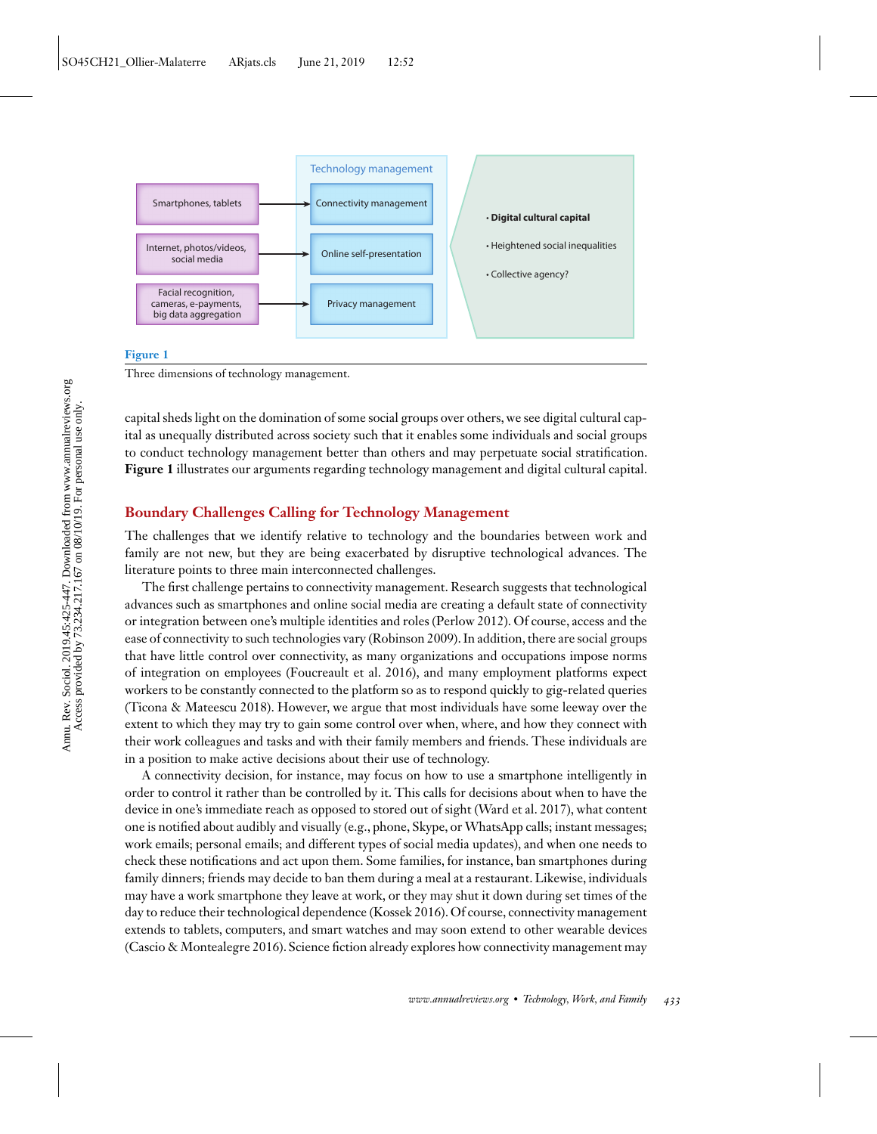

#### **Figure 1**

capital sheds light on the domination of some social groups over others, we see digital cultural capital as unequally distributed across society such that it enables some individuals and social groups to conduct technology management better than others and may perpetuate social stratification. **Figure 1** illustrates our arguments regarding technology management and digital cultural capital.

#### **Boundary Challenges Calling for Technology Management**

The challenges that we identify relative to technology and the boundaries between work and family are not new, but they are being exacerbated by disruptive technological advances. The literature points to three main interconnected challenges.

The first challenge pertains to connectivity management. Research suggests that technological advances such as smartphones and online social media are creating a default state of connectivity or integration between one's multiple identities and roles [\(Perlow 2012\)](#page-20-0). Of course, access and the ease of connectivity to such technologies vary [\(Robinson 2009\)](#page-20-0). In addition, there are social groups that have little control over connectivity, as many organizations and occupations impose norms of integration on employees [\(Foucreault et al. 2016\)](#page-18-0), and many employment platforms expect workers to be constantly connected to the platform so as to respond quickly to gig-related queries [\(Ticona & Mateescu 2018\)](#page-21-0). However, we argue that most individuals have some leeway over the extent to which they may try to gain some control over when, where, and how they connect with their work colleagues and tasks and with their family members and friends. These individuals are in a position to make active decisions about their use of technology.

A connectivity decision, for instance, may focus on how to use a smartphone intelligently in order to control it rather than be controlled by it. This calls for decisions about when to have the device in one's immediate reach as opposed to stored out of sight [\(Ward et al. 2017\)](#page-22-0), what content one is notified about audibly and visually (e.g., phone, Skype, or WhatsApp calls; instant messages; work emails; personal emails; and different types of social media updates), and when one needs to check these notifications and act upon them. Some families, for instance, ban smartphones during family dinners; friends may decide to ban them during a meal at a restaurant. Likewise, individuals may have a work smartphone they leave at work, or they may shut it down during set times of the day to reduce their technological dependence [\(Kossek 2016\)](#page-18-0). Of course, connectivity management extends to tablets, computers, and smart watches and may soon extend to other wearable devices [\(Cascio & Montealegre 2016\)](#page-17-0). Science fiction already explores how connectivity management may

Three dimensions of technology management.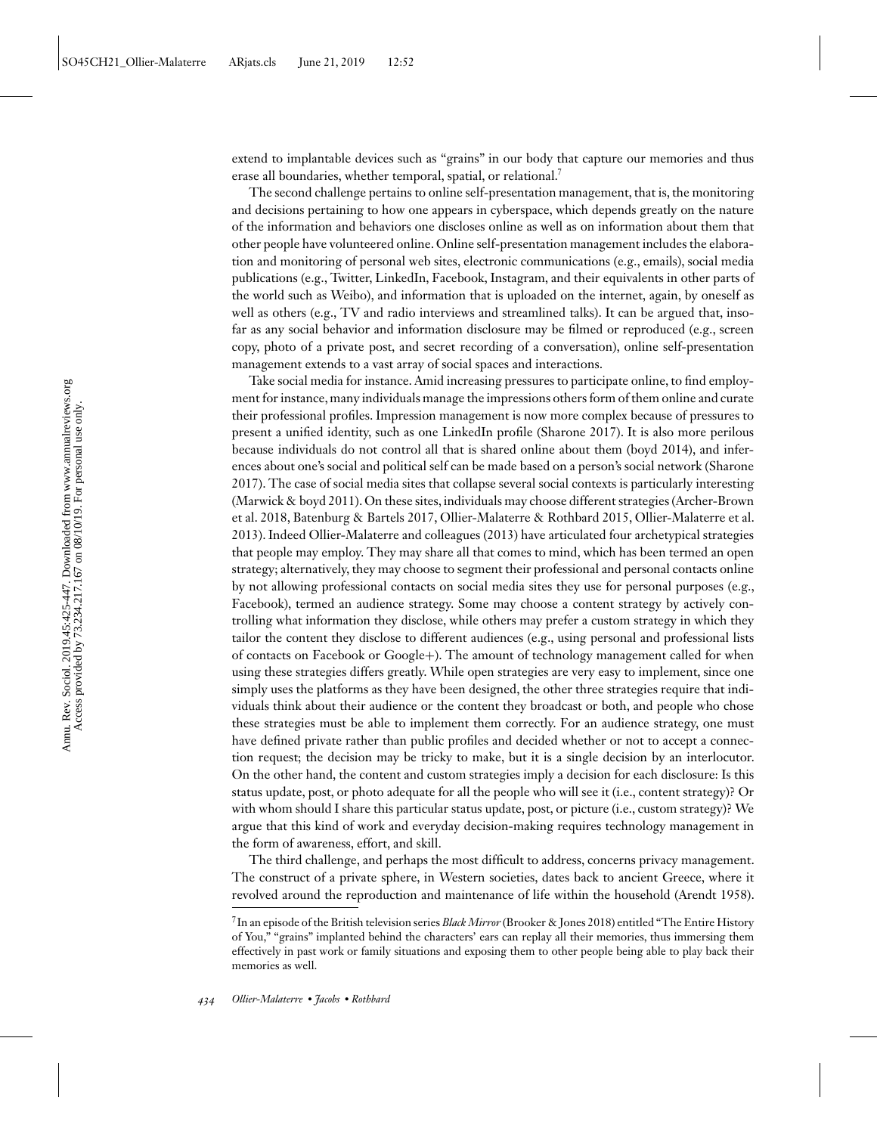extend to implantable devices such as "grains" in our body that capture our memories and thus erase all boundaries, whether temporal, spatial, or relational.7

The second challenge pertains to online self-presentation management, that is, the monitoring and decisions pertaining to how one appears in cyberspace, which depends greatly on the nature of the information and behaviors one discloses online as well as on information about them that other people have volunteered online. Online self-presentation management includes the elaboration and monitoring of personal web sites, electronic communications (e.g., emails), social media publications (e.g., Twitter, LinkedIn, Facebook, Instagram, and their equivalents in other parts of the world such as Weibo), and information that is uploaded on the internet, again, by oneself as well as others (e.g., TV and radio interviews and streamlined talks). It can be argued that, insofar as any social behavior and information disclosure may be filmed or reproduced (e.g., screen copy, photo of a private post, and secret recording of a conversation), online self-presentation management extends to a vast array of social spaces and interactions.

Take social media for instance. Amid increasing pressures to participate online, to find employment for instance, many individuals manage the impressions others form of them online and curate their professional profiles. Impression management is now more complex because of pressures to present a unified identity, such as one LinkedIn profile [\(Sharone 2017\)](#page-21-0). It is also more perilous because individuals do not control all that is shared online about them [\(boyd 2014\)](#page-16-0), and inferences about one's social and political self can be made based on a person's social network (Sharone [2017\). The case of social media sites that collapse several social contexts is particularly interesting](#page-21-0) [\(Marwick & boyd 2011\)](#page-19-0). On these sites, individuals may choose different strategies (Archer-Brown [et al. 2018, Batenburg & Bartels 2017, Ollier-Malaterre & Rothbard 2015, Ollier-Malaterre et al.](#page-16-0) 2013). Indeed [Ollier-Malaterre and colleagues \(2013\)](#page-20-0) have articulated four archetypical strategies that people may employ. They may share all that comes to mind, which has been termed an open strategy; alternatively, they may choose to segment their professional and personal contacts online by not allowing professional contacts on social media sites they use for personal purposes (e.g., Facebook), termed an audience strategy. Some may choose a content strategy by actively controlling what information they disclose, while others may prefer a custom strategy in which they tailor the content they disclose to different audiences (e.g., using personal and professional lists of contacts on Facebook or Google+). The amount of technology management called for when using these strategies differs greatly. While open strategies are very easy to implement, since one simply uses the platforms as they have been designed, the other three strategies require that individuals think about their audience or the content they broadcast or both, and people who chose these strategies must be able to implement them correctly. For an audience strategy, one must have defined private rather than public profiles and decided whether or not to accept a connection request; the decision may be tricky to make, but it is a single decision by an interlocutor. On the other hand, the content and custom strategies imply a decision for each disclosure: Is this status update, post, or photo adequate for all the people who will see it (i.e., content strategy)? Or with whom should I share this particular status update, post, or picture (i.e., custom strategy)? We argue that this kind of work and everyday decision-making requires technology management in the form of awareness, effort, and skill.

The third challenge, and perhaps the most difficult to address, concerns privacy management. The construct of a private sphere, in Western societies, dates back to ancient Greece, where it revolved around the reproduction and maintenance of life within the household [\(Arendt 1958\)](#page-16-0).

<sup>7</sup>In an episode of the British television series *Black Mirror* [\(Brooker & Jones 2018\)](#page-16-0) entitled "The Entire History of You," "grains" implanted behind the characters' ears can replay all their memories, thus immersing them effectively in past work or family situations and exposing them to other people being able to play back their memories as well.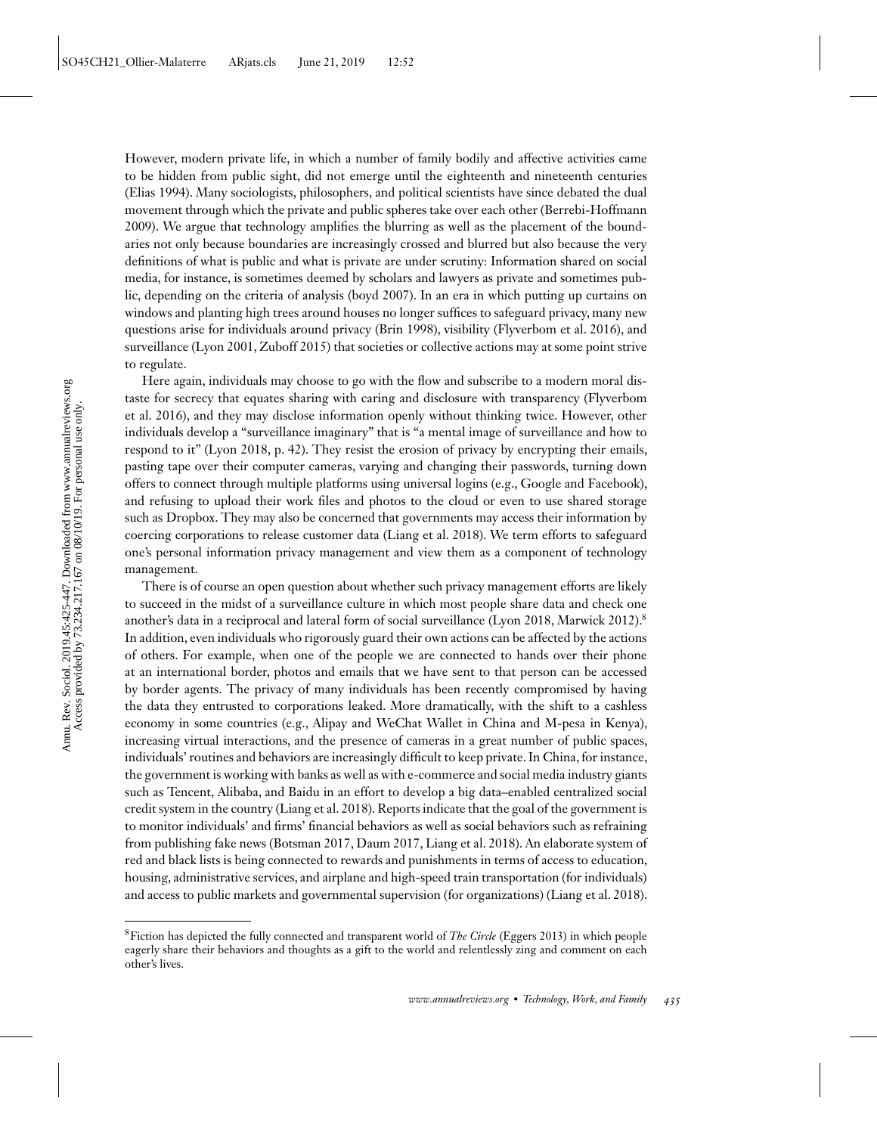However, modern private life, in which a number of family bodily and affective activities came to be hidden from public sight, did not emerge until the eighteenth and nineteenth centuries [\(Elias 1994\)](#page-17-0). Many sociologists, philosophers, and political scientists have since debated the dual [movement through which the private and public spheres take over each other \(Berrebi-Hoffmann](#page-16-0) 2009). We argue that technology amplifies the blurring as well as the placement of the boundaries not only because boundaries are increasingly crossed and blurred but also because the very definitions of what is public and what is private are under scrutiny: Information shared on social media, for instance, is sometimes deemed by scholars and lawyers as private and sometimes public, depending on the criteria of analysis [\(boyd 2007\)](#page-16-0). In an era in which putting up curtains on windows and planting high trees around houses no longer suffices to safeguard privacy, many new questions arise for individuals around privacy [\(Brin 1998\)](#page-16-0), visibility [\(Flyverbom et al. 2016\)](#page-17-0), and surveillance [\(Lyon 2001,](#page-19-0) [Zuboff 2015\)](#page-22-0) that societies or collective actions may at some point strive to regulate.

Here again, individuals may choose to go with the flow and subscribe to a modern moral distaste for secrecy that equates sharing with caring and disclosure with transparency (Flyverbom [et al. 2016\), and they may disclose information openly without thinking twice. However, other](#page-17-0) individuals develop a "surveillance imaginary" that is "a mental image of surveillance and how to respond to it" [\(Lyon 2018,](#page-19-0) p. 42). They resist the erosion of privacy by encrypting their emails, pasting tape over their computer cameras, varying and changing their passwords, turning down offers to connect through multiple platforms using universal logins (e.g., Google and Facebook), and refusing to upload their work files and photos to the cloud or even to use shared storage such as Dropbox. They may also be concerned that governments may access their information by coercing corporations to release customer data [\(Liang et al. 2018\)](#page-19-0). We term efforts to safeguard one's personal information privacy management and view them as a component of technology management.

There is of course an open question about whether such privacy management efforts are likely to succeed in the midst of a surveillance culture in which most people share data and check one another's data in a reciprocal and lateral form of social surveillance [\(Lyon 2018, Marwick 2012\)](#page-19-0).8 In addition, even individuals who rigorously guard their own actions can be affected by the actions of others. For example, when one of the people we are connected to hands over their phone at an international border, photos and emails that we have sent to that person can be accessed by border agents. The privacy of many individuals has been recently compromised by having the data they entrusted to corporations leaked. More dramatically, with the shift to a cashless economy in some countries (e.g., Alipay and WeChat Wallet in China and M-pesa in Kenya), increasing virtual interactions, and the presence of cameras in a great number of public spaces, individuals' routines and behaviors are increasingly difficult to keep private. In China, for instance, the government is working with banks as well as with e-commerce and social media industry giants such as Tencent, Alibaba, and Baidu in an effort to develop a big data–enabled centralized social credit system in the country [\(Liang et al. 2018\)](#page-19-0). Reports indicate that the goal of the government is to monitor individuals' and firms' financial behaviors as well as social behaviors such as refraining from publishing fake news [\(Botsman 2017,](#page-16-0) [Daum 2017,](#page-17-0) [Liang et al. 2018\)](#page-19-0). An elaborate system of red and black lists is being connected to rewards and punishments in terms of access to education, housing, administrative services, and airplane and high-speed train transportation (for individuals) and access to public markets and governmental supervision (for organizations) [\(Liang et al. 2018\)](#page-19-0).

<sup>8</sup>Fiction has depicted the fully connected and transparent world of *The Circle* [\(Eggers 2013\)](#page-17-0) in which people eagerly share their behaviors and thoughts as a gift to the world and relentlessly zing and comment on each other's lives.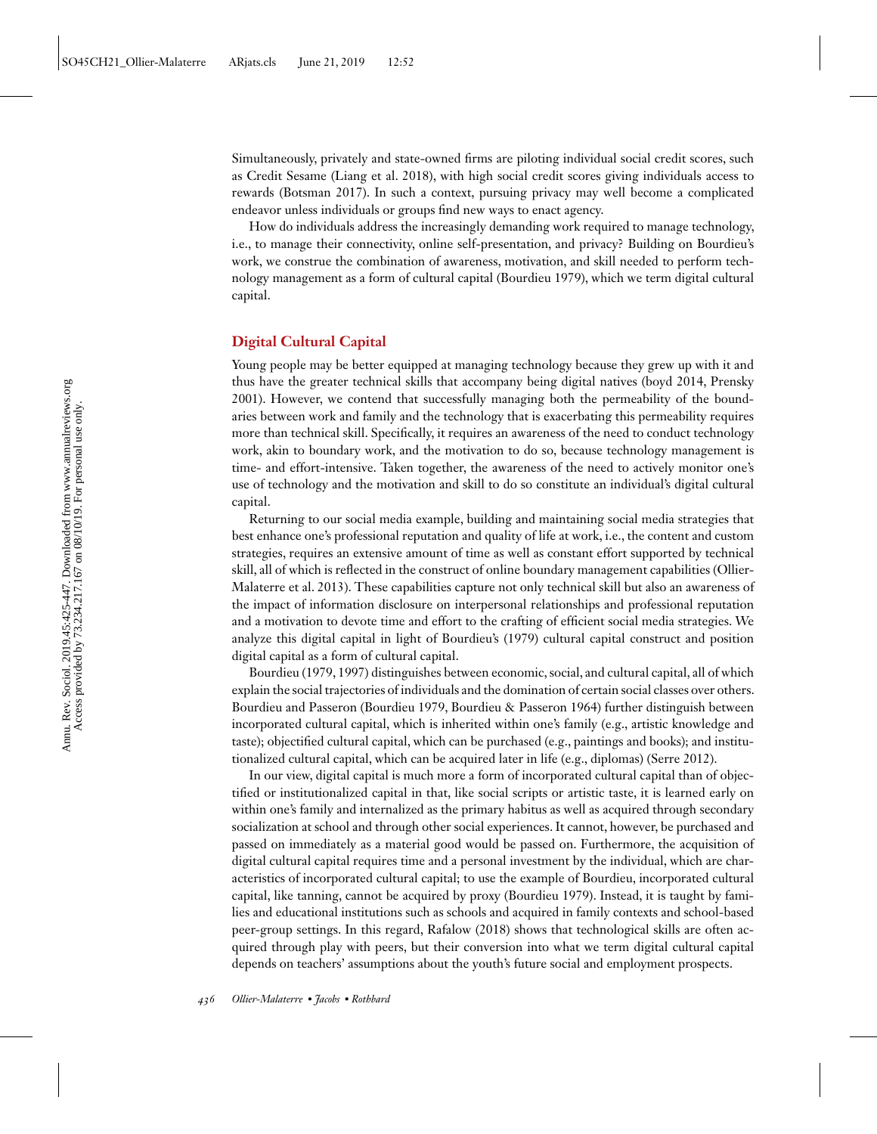Simultaneously, privately and state-owned firms are piloting individual social credit scores, such as Credit Sesame [\(Liang et al. 2018\)](#page-19-0), with high social credit scores giving individuals access to rewards [\(Botsman 2017\)](#page-16-0). In such a context, pursuing privacy may well become a complicated endeavor unless individuals or groups find new ways to enact agency.

How do individuals address the increasingly demanding work required to manage technology, i.e., to manage their connectivity, online self-presentation, and privacy? Building on Bourdieu's work, we construe the combination of awareness, motivation, and skill needed to perform technology management as a form of cultural capital [\(Bourdieu 1979\)](#page-16-0), which we term digital cultural capital.

#### **Digital Cultural Capital**

Young people may be better equipped at managing technology because they grew up with it and thus have the greater technical skills that accompany being digital natives [\(boyd 2014,](#page-16-0) Prensky [2001\). However, we contend that successfully managing both the permeability of the bound](#page-20-0)aries between work and family and the technology that is exacerbating this permeability requires more than technical skill. Specifically, it requires an awareness of the need to conduct technology work, akin to boundary work, and the motivation to do so, because technology management is time- and effort-intensive. Taken together, the awareness of the need to actively monitor one's use of technology and the motivation and skill to do so constitute an individual's digital cultural capital.

Returning to our social media example, building and maintaining social media strategies that best enhance one's professional reputation and quality of life at work, i.e., the content and custom strategies, requires an extensive amount of time as well as constant effort supported by technical skill, all of which is reflected in the construct of online boundary management capabilities (Ollier-[Malaterre et al. 2013\). These capabilities capture not only technical skill but also an awareness of](#page-20-0) the impact of information disclosure on interpersonal relationships and professional reputation and a motivation to devote time and effort to the crafting of efficient social media strategies. We analyze this digital capital in light of Bourdieu's [\(1979\)](#page-16-0) cultural capital construct and position digital capital as a form of cultural capital.

[Bourdieu \(1979, 1997\)](#page-16-0) distinguishes between economic, social, and cultural capital, all of which explain the social trajectories of individuals and the domination of certain social classes over others. Bourdieu and Passeron [\(Bourdieu 1979, Bourdieu & Passeron 1964\)](#page-16-0) further distinguish between incorporated cultural capital, which is inherited within one's family (e.g., artistic knowledge and taste); objectified cultural capital, which can be purchased (e.g., paintings and books); and institutionalized cultural capital, which can be acquired later in life (e.g., diplomas) [\(Serre 2012\)](#page-21-0).

In our view, digital capital is much more a form of incorporated cultural capital than of objectified or institutionalized capital in that, like social scripts or artistic taste, it is learned early on within one's family and internalized as the primary habitus as well as acquired through secondary socialization at school and through other social experiences. It cannot, however, be purchased and passed on immediately as a material good would be passed on. Furthermore, the acquisition of digital cultural capital requires time and a personal investment by the individual, which are characteristics of incorporated cultural capital; to use the example of Bourdieu, incorporated cultural capital, like tanning, cannot be acquired by proxy [\(Bourdieu 1979\)](#page-16-0). Instead, it is taught by families and educational institutions such as schools and acquired in family contexts and school-based peer-group settings. In this regard, [Rafalow \(2018\)](#page-20-0) shows that technological skills are often acquired through play with peers, but their conversion into what we term digital cultural capital depends on teachers' assumptions about the youth's future social and employment prospects.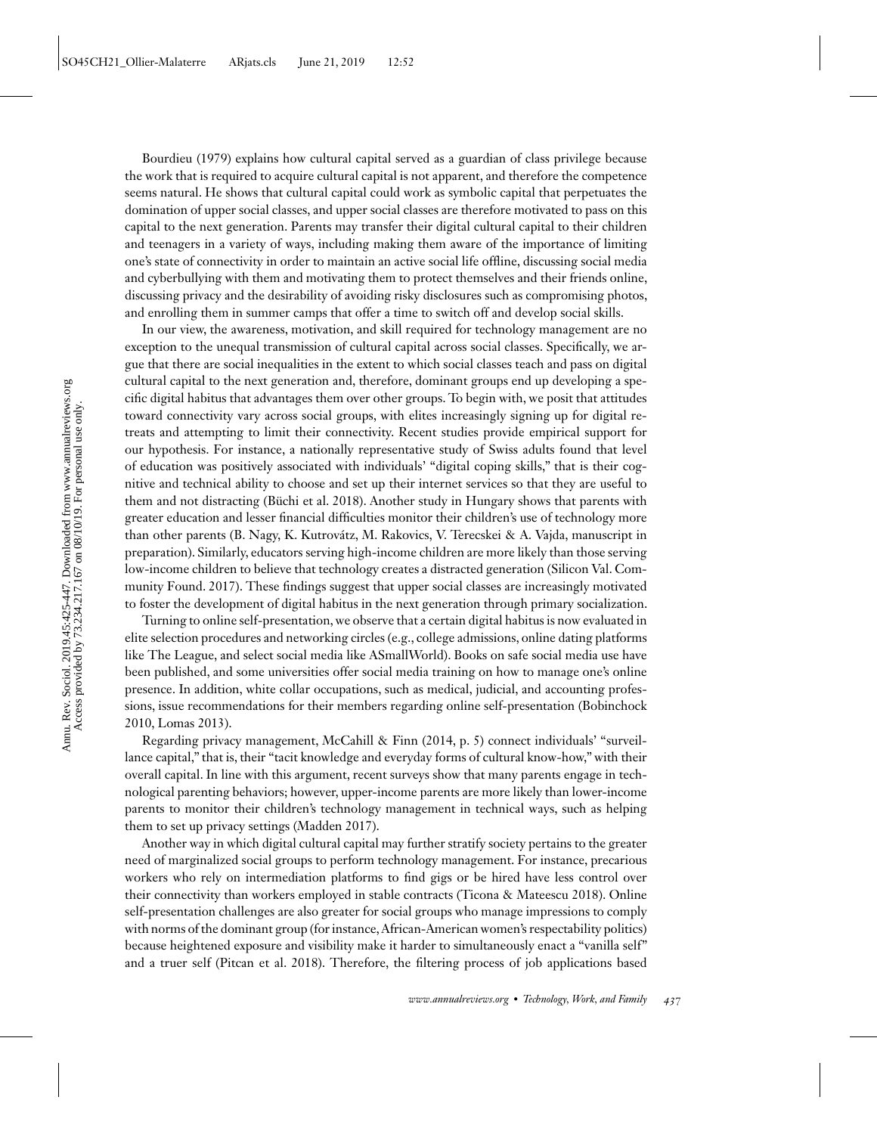[Bourdieu \(1979\)](#page-16-0) explains how cultural capital served as a guardian of class privilege because the work that is required to acquire cultural capital is not apparent, and therefore the competence seems natural. He shows that cultural capital could work as symbolic capital that perpetuates the domination of upper social classes, and upper social classes are therefore motivated to pass on this capital to the next generation. Parents may transfer their digital cultural capital to their children and teenagers in a variety of ways, including making them aware of the importance of limiting one's state of connectivity in order to maintain an active social life offline, discussing social media and cyberbullying with them and motivating them to protect themselves and their friends online, discussing privacy and the desirability of avoiding risky disclosures such as compromising photos, and enrolling them in summer camps that offer a time to switch off and develop social skills.

In our view, the awareness, motivation, and skill required for technology management are no exception to the unequal transmission of cultural capital across social classes. Specifically, we argue that there are social inequalities in the extent to which social classes teach and pass on digital cultural capital to the next generation and, therefore, dominant groups end up developing a specific digital habitus that advantages them over other groups. To begin with, we posit that attitudes toward connectivity vary across social groups, with elites increasingly signing up for digital retreats and attempting to limit their connectivity. Recent studies provide empirical support for our hypothesis. For instance, a nationally representative study of Swiss adults found that level of education was positively associated with individuals' "digital coping skills," that is their cognitive and technical ability to choose and set up their internet services so that they are useful to them and not distracting [\(Büchi et al. 2018\)](#page-16-0). Another study in Hungary shows that parents with greater education and lesser financial difficulties monitor their children's use of technology more than other parents (B. Nagy, K. Kutrovátz, M. Rakovics, V. Terecskei & A. Vajda, manuscript in preparation). Similarly, educators serving high-income children are more likely than those serving [low-income children to believe that technology creates a distracted generation \(Silicon Val. Com](#page-21-0)munity Found. 2017). These findings suggest that upper social classes are increasingly motivated to foster the development of digital habitus in the next generation through primary socialization.

Turning to online self-presentation, we observe that a certain digital habitus is now evaluated in elite selection procedures and networking circles (e.g., college admissions, online dating platforms like The League, and select social media like ASmallWorld). Books on safe social media use have been published, and some universities offer social media training on how to manage one's online presence. In addition, white collar occupations, such as medical, judicial, and accounting profes[sions, issue recommendations for their members regarding online self-presentation \(Bobinchock](#page-16-0) 2010, [Lomas 2013\)](#page-19-0).

Regarding privacy management, [McCahill & Finn \(2014,](#page-19-0) p. 5) connect individuals' "surveillance capital," that is, their "tacit knowledge and everyday forms of cultural know-how," with their overall capital. In line with this argument, recent surveys show that many parents engage in technological parenting behaviors; however, upper-income parents are more likely than lower-income parents to monitor their children's technology management in technical ways, such as helping them to set up privacy settings [\(Madden 2017\)](#page-19-0).

Another way in which digital cultural capital may further stratify society pertains to the greater need of marginalized social groups to perform technology management. For instance, precarious workers who rely on intermediation platforms to find gigs or be hired have less control over their connectivity than workers employed in stable contracts [\(Ticona & Mateescu 2018\)](#page-21-0). Online self-presentation challenges are also greater for social groups who manage impressions to comply with norms of the dominant group (for instance, African-American women's respectability politics) because heightened exposure and visibility make it harder to simultaneously enact a "vanilla self" and a truer self [\(Pitcan et al. 2018\)](#page-20-0). Therefore, the filtering process of job applications based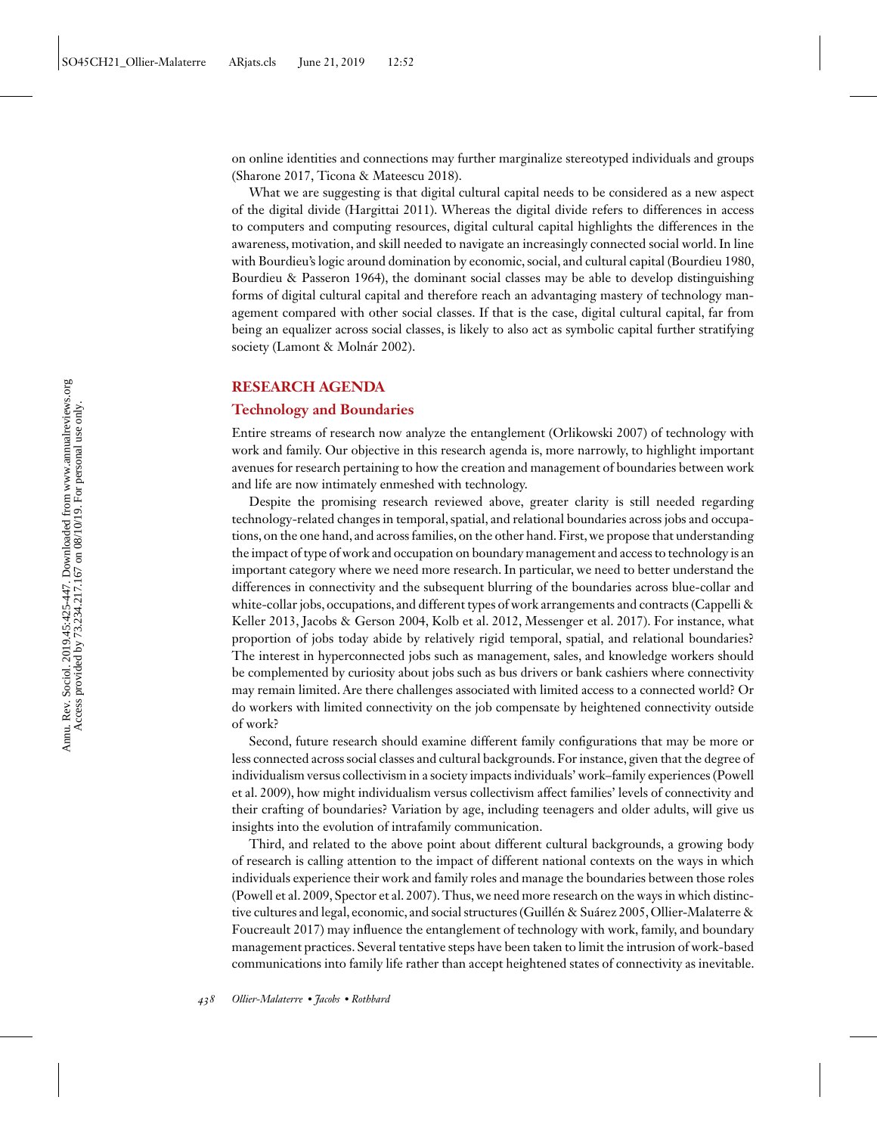on online identities and connections may further marginalize stereotyped individuals and groups [\(Sharone 2017, Ticona & Mateescu 2018\)](#page-21-0).

What we are suggesting is that digital cultural capital needs to be considered as a new aspect of the digital divide [\(Hargittai 2011\)](#page-18-0). Whereas the digital divide refers to differences in access to computers and computing resources, digital cultural capital highlights the differences in the awareness, motivation, and skill needed to navigate an increasingly connected social world. In line with Bourdieu's logic around domination by economic, social, and cultural capital [\(Bourdieu 1980,](#page-16-0) [Bourdieu & Passeron 1964\)](#page-16-0), the dominant social classes may be able to develop distinguishing forms of digital cultural capital and therefore reach an advantaging mastery of technology management compared with other social classes. If that is the case, digital cultural capital, far from being an equalizer across social classes, is likely to also act as symbolic capital further stratifying society [\(Lamont & Molnár 2002\)](#page-19-0).

#### **RESEARCH AGENDA**

#### **Technology and Boundaries**

Entire streams of research now analyze the entanglement [\(Orlikowski 2007\)](#page-20-0) of technology with work and family. Our objective in this research agenda is, more narrowly, to highlight important avenues for research pertaining to how the creation and management of boundaries between work and life are now intimately enmeshed with technology.

Despite the promising research reviewed above, greater clarity is still needed regarding technology-related changes in temporal, spatial, and relational boundaries across jobs and occupations, on the one hand, and across families, on the other hand. First, we propose that understanding the impact of type of work and occupation on boundary management and access to technology is an important category where we need more research. In particular, we need to better understand the differences in connectivity and the subsequent blurring of the boundaries across blue-collar and [white-collar jobs, occupations, and different types of work arrangements and contracts \(Cappelli &](#page-16-0) Keller 2013, [Jacobs & Gerson 2004, Kolb et al. 2012,](#page-18-0) [Messenger et al. 2017\)](#page-19-0). For instance, what proportion of jobs today abide by relatively rigid temporal, spatial, and relational boundaries? The interest in hyperconnected jobs such as management, sales, and knowledge workers should be complemented by curiosity about jobs such as bus drivers or bank cashiers where connectivity may remain limited. Are there challenges associated with limited access to a connected world? Or do workers with limited connectivity on the job compensate by heightened connectivity outside of work?

Second, future research should examine different family configurations that may be more or less connected across social classes and cultural backgrounds. For instance, given that the degree of [individualism versus collectivism in a society impacts individuals' work–family experiences \(Powell](#page-20-0) et al. 2009), how might individualism versus collectivism affect families' levels of connectivity and their crafting of boundaries? Variation by age, including teenagers and older adults, will give us insights into the evolution of intrafamily communication.

Third, and related to the above point about different cultural backgrounds, a growing body of research is calling attention to the impact of different national contexts on the ways in which individuals experience their work and family roles and manage the boundaries between those roles [\(Powell et al. 2009,](#page-20-0) [Spector et al. 2007\)](#page-21-0). Thus, we need more research on the ways in which distinctive cultures and legal, economic, and social structures [\(Guillén & Suárez 2005,](#page-18-0) Ollier-Malaterre & [Foucreault 2017\) may influence the entanglement of technology with work, family, and boundary](#page-20-0) management practices. Several tentative steps have been taken to limit the intrusion of work-based communications into family life rather than accept heightened states of connectivity as inevitable.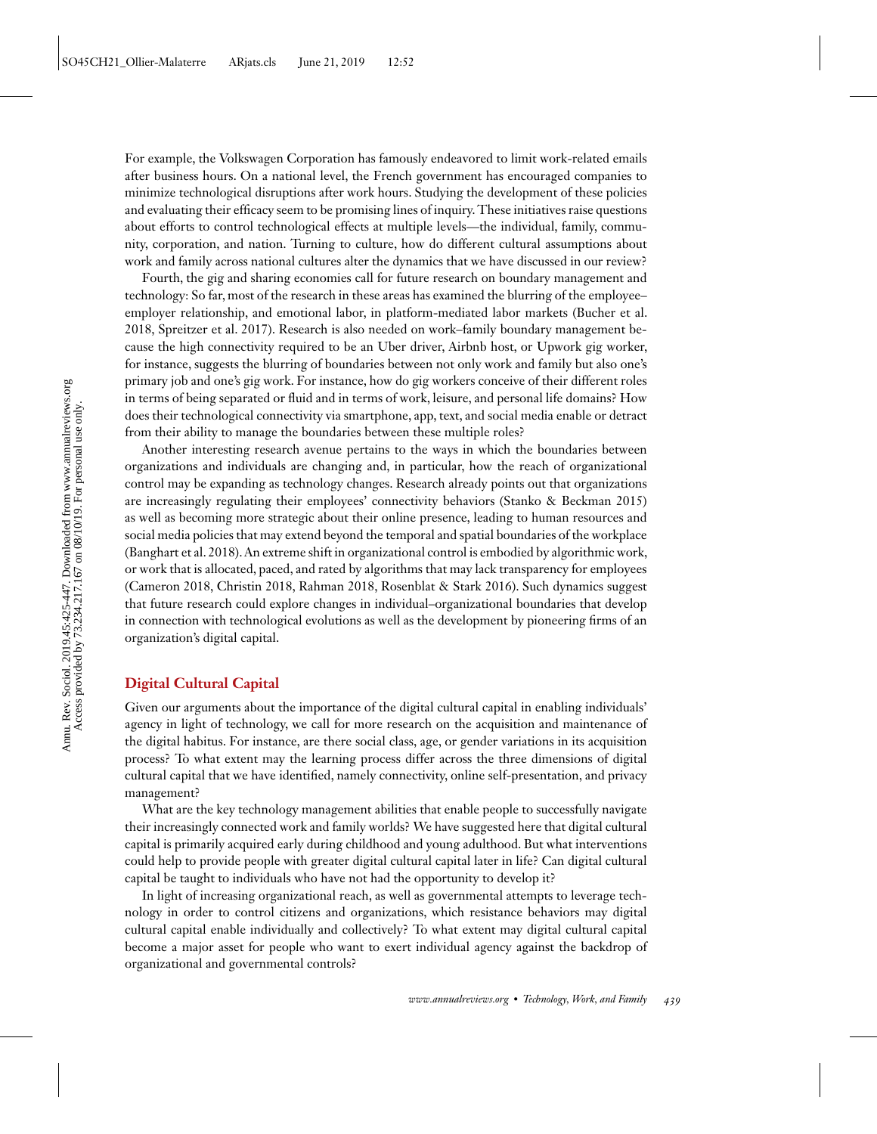For example, the Volkswagen Corporation has famously endeavored to limit work-related emails after business hours. On a national level, the French government has encouraged companies to minimize technological disruptions after work hours. Studying the development of these policies and evaluating their efficacy seem to be promising lines of inquiry. These initiatives raise questions about efforts to control technological effects at multiple levels—the individual, family, community, corporation, and nation. Turning to culture, how do different cultural assumptions about work and family across national cultures alter the dynamics that we have discussed in our review?

Fourth, the gig and sharing economies call for future research on boundary management and technology: So far, most of the research in these areas has examined the blurring of the employee– [employer relationship, and emotional labor, in platform-mediated labor markets \(Bucher et al.](#page-16-0) 2018, [Spreitzer et al. 2017\)](#page-21-0). Research is also needed on work–family boundary management because the high connectivity required to be an Uber driver, Airbnb host, or Upwork gig worker, for instance, suggests the blurring of boundaries between not only work and family but also one's primary job and one's gig work. For instance, how do gig workers conceive of their different roles in terms of being separated or fluid and in terms of work, leisure, and personal life domains? How does their technological connectivity via smartphone, app, text, and social media enable or detract from their ability to manage the boundaries between these multiple roles?

Another interesting research avenue pertains to the ways in which the boundaries between organizations and individuals are changing and, in particular, how the reach of organizational control may be expanding as technology changes. Research already points out that organizations are increasingly regulating their employees' connectivity behaviors [\(Stanko & Beckman 2015\)](#page-21-0) as well as becoming more strategic about their online presence, leading to human resources and social media policies that may extend beyond the temporal and spatial boundaries of the workplace [\(Banghart et al. 2018\)](#page-16-0). An extreme shift in organizational control is embodied by algorithmic work, or work that is allocated, paced, and rated by algorithms that may lack transparency for employees [\(Cameron 2018,](#page-16-0) [Christin 2018,](#page-17-0) [Rahman 2018, Rosenblat & Stark 2016\)](#page-20-0). Such dynamics suggest that future research could explore changes in individual–organizational boundaries that develop in connection with technological evolutions as well as the development by pioneering firms of an organization's digital capital.

#### **Digital Cultural Capital**

Given our arguments about the importance of the digital cultural capital in enabling individuals' agency in light of technology, we call for more research on the acquisition and maintenance of the digital habitus. For instance, are there social class, age, or gender variations in its acquisition process? To what extent may the learning process differ across the three dimensions of digital cultural capital that we have identified, namely connectivity, online self-presentation, and privacy management?

What are the key technology management abilities that enable people to successfully navigate their increasingly connected work and family worlds? We have suggested here that digital cultural capital is primarily acquired early during childhood and young adulthood. But what interventions could help to provide people with greater digital cultural capital later in life? Can digital cultural capital be taught to individuals who have not had the opportunity to develop it?

In light of increasing organizational reach, as well as governmental attempts to leverage technology in order to control citizens and organizations, which resistance behaviors may digital cultural capital enable individually and collectively? To what extent may digital cultural capital become a major asset for people who want to exert individual agency against the backdrop of organizational and governmental controls?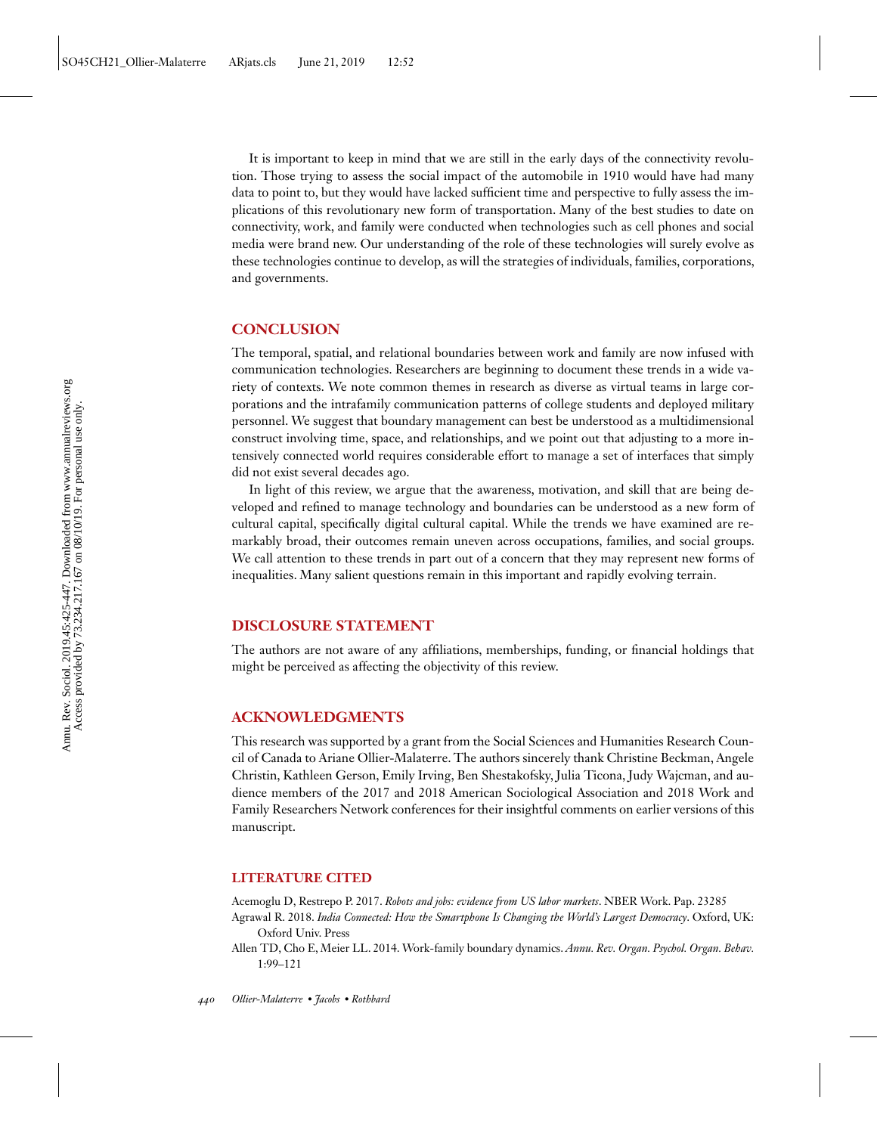<span id="page-15-0"></span>It is important to keep in mind that we are still in the early days of the connectivity revolution. Those trying to assess the social impact of the automobile in 1910 would have had many data to point to, but they would have lacked sufficient time and perspective to fully assess the implications of this revolutionary new form of transportation. Many of the best studies to date on connectivity, work, and family were conducted when technologies such as cell phones and social media were brand new. Our understanding of the role of these technologies will surely evolve as these technologies continue to develop, as will the strategies of individuals, families, corporations, and governments.

#### **CONCLUSION**

The temporal, spatial, and relational boundaries between work and family are now infused with communication technologies. Researchers are beginning to document these trends in a wide variety of contexts. We note common themes in research as diverse as virtual teams in large corporations and the intrafamily communication patterns of college students and deployed military personnel. We suggest that boundary management can best be understood as a multidimensional construct involving time, space, and relationships, and we point out that adjusting to a more intensively connected world requires considerable effort to manage a set of interfaces that simply did not exist several decades ago.

In light of this review, we argue that the awareness, motivation, and skill that are being developed and refined to manage technology and boundaries can be understood as a new form of cultural capital, specifically digital cultural capital. While the trends we have examined are remarkably broad, their outcomes remain uneven across occupations, families, and social groups. We call attention to these trends in part out of a concern that they may represent new forms of inequalities. Many salient questions remain in this important and rapidly evolving terrain.

#### **DISCLOSURE STATEMENT**

The authors are not aware of any affiliations, memberships, funding, or financial holdings that might be perceived as affecting the objectivity of this review.

#### **ACKNOWLEDGMENTS**

This research was supported by a grant from the Social Sciences and Humanities Research Council of Canada to Ariane Ollier-Malaterre. The authors sincerely thank Christine Beckman, Angele Christin, Kathleen Gerson, Emily Irving, Ben Shestakofsky, Julia Ticona, Judy Wajcman, and audience members of the 2017 and 2018 American Sociological Association and 2018 Work and Family Researchers Network conferences for their insightful comments on earlier versions of this manuscript.

#### **LITERATURE CITED**

Acemoglu D, Restrepo P. 2017. *Robots and jobs: evidence from US labor markets*. NBER Work. Pap. 23285

- Agrawal R. 2018. *India Connected: How the Smartphone Is Changing the World's Largest Democracy*. Oxford, UK: Oxford Univ. Press
- Allen TD, Cho E, Meier LL. 2014. Work-family boundary dynamics. *Annu. Rev. Organ. Psychol. Organ. Behav.* 1:99–121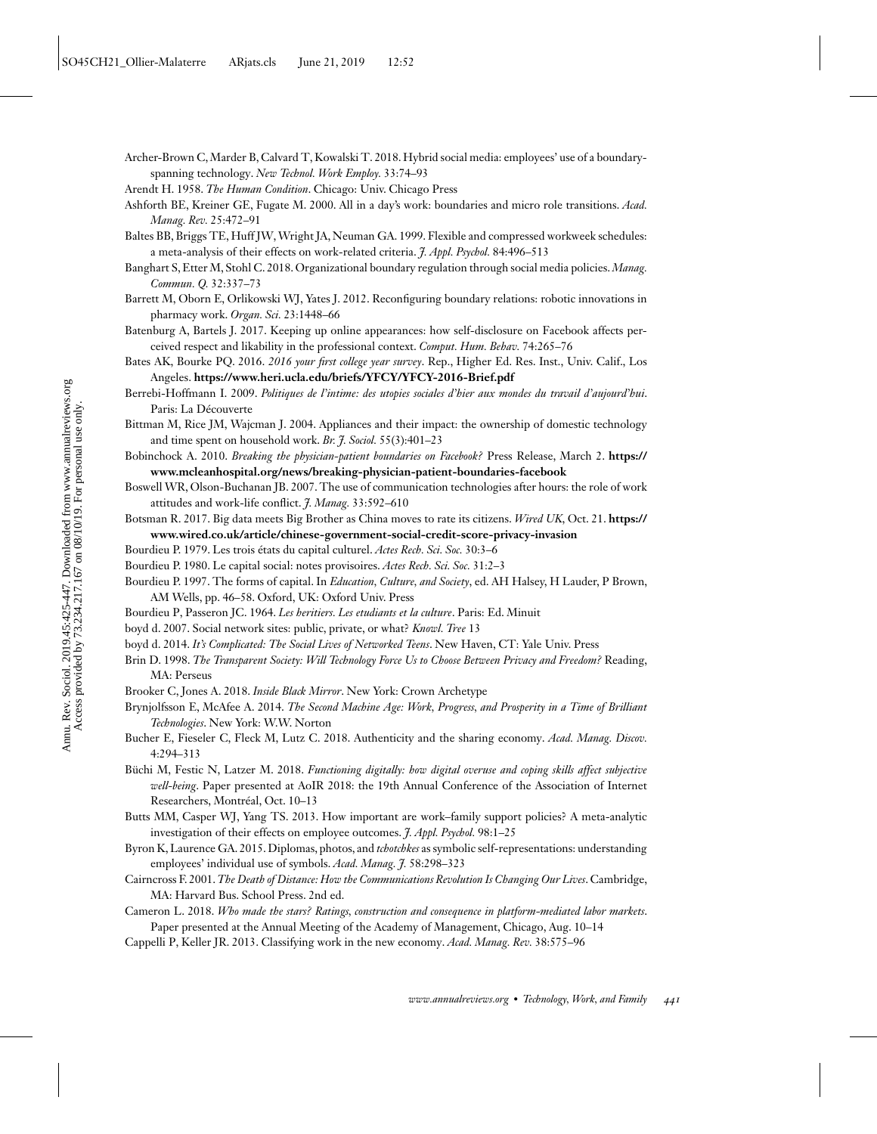- <span id="page-16-0"></span>Archer-Brown C,Marder B, Calvard T, Kowalski T. 2018. Hybrid social media: employees' use of a boundaryspanning technology. *New Technol. Work Employ.* 33:74–93
- Arendt H. 1958. *The Human Condition*. Chicago: Univ. Chicago Press
- Ashforth BE, Kreiner GE, Fugate M. 2000. All in a day's work: boundaries and micro role transitions. *Acad. Manag. Rev.* 25:472–91
- Baltes BB, Briggs TE, Huff JW,Wright JA, Neuman GA. 1999. Flexible and compressed workweek schedules: a meta-analysis of their effects on work-related criteria. *J. Appl. Psychol.* 84:496–513
- Banghart S, Etter M, Stohl C. 2018. Organizational boundary regulation through social media policies.*Manag. Commun. Q.* 32:337–73
- Barrett M, Oborn E, Orlikowski WJ, Yates J. 2012. Reconfiguring boundary relations: robotic innovations in pharmacy work. *Organ. Sci.* 23:1448–66
- Batenburg A, Bartels J. 2017. Keeping up online appearances: how self-disclosure on Facebook affects perceived respect and likability in the professional context. *Comput. Hum. Behav.* 74:265–76
- Bates AK, Bourke PQ. 2016. *2016 your first college year survey*. Rep., Higher Ed. Res. Inst., Univ. Calif., Los Angeles. **<https://www.heri.ucla.edu/briefs/YFCY/YFCY-2016-Brief.pdf>**
- Berrebi-Hoffmann I. 2009. *Politiques de l'intime: des utopies sociales d'hier aux mondes du travail d'aujourd'hui*. Paris: La Découverte
- Bittman M, Rice JM, Wajcman J. 2004. Appliances and their impact: the ownership of domestic technology and time spent on household work. *Br. J. Sociol.* 55(3):401–23
- Bobinchock A. 2010. *Breaking the physician-patient boundaries on Facebook?* Press Release, March 2. **https:// [www.mcleanhospital.org/news/breaking-physician-patient-boundaries-facebook](https://www.mcleanhospital.org/news/breaking-physician-patient-boundaries-facebook)**
- Boswell WR, Olson-Buchanan JB. 2007. The use of communication technologies after hours: the role of work attitudes and work-life conflict. *J. Manag.* 33:592–610
- Botsman R. 2017. Big data meets Big Brother as China moves to rate its citizens. *Wired UK*, Oct. 21. **https:// [www.wired.co.uk/article/chinese-government-social-credit-score-privacy-invasion](https://www.wired.co.uk/article/chinese-government-social-credit-score-privacy-invasion)**
- Bourdieu P. 1979. Les trois états du capital culturel. *Actes Rech. Sci. Soc.* 30:3–6
- Bourdieu P. 1980. Le capital social: notes provisoires. *Actes Rech. Sci. Soc.* 31:2–3
- Bourdieu P. 1997. The forms of capital. In *Education, Culture, and Society*, ed. AH Halsey, H Lauder, P Brown, AM Wells, pp. 46–58. Oxford, UK: Oxford Univ. Press
- Bourdieu P, Passeron JC. 1964. *Les heritiers. Les etudiants et la culture*. Paris: Ed. Minuit
- boyd d. 2007. Social network sites: public, private, or what? *Knowl. Tree* 13
- boyd d. 2014. *It's Complicated: The Social Lives of Networked Teens*. New Haven, CT: Yale Univ. Press
- Brin D. 1998. *The Transparent Society: Will Technology Force Us to Choose Between Privacy and Freedom?* Reading, MA: Perseus
- Brooker C, Jones A. 2018. *Inside Black Mirror*. New York: Crown Archetype
- Brynjolfsson E, McAfee A. 2014. *The Second Machine Age: Work, Progress, and Prosperity in a Time of Brilliant Technologies*. New York: W.W. Norton
- Bucher E, Fieseler C, Fleck M, Lutz C. 2018. Authenticity and the sharing economy. *Acad. Manag. Discov.* 4:294–313
- Büchi M, Festic N, Latzer M. 2018. *Functioning digitally: how digital overuse and coping skills affect subjective well-being*. Paper presented at AoIR 2018: the 19th Annual Conference of the Association of Internet Researchers, Montréal, Oct. 10–13
- Butts MM, Casper WJ, Yang TS. 2013. How important are work–family support policies? A meta-analytic investigation of their effects on employee outcomes. *J. Appl. Psychol.* 98:1–25
- Byron K, Laurence GA. 2015. Diplomas, photos, and *tchotchkes* as symbolic self-representations: understanding employees' individual use of symbols. *Acad. Manag. J.* 58:298–323
- Cairncross F. 2001.*The Death of Distance: How the Communications Revolution Is Changing Our Lives*. Cambridge, MA: Harvard Bus. School Press. 2nd ed.
- Cameron L. 2018. *Who made the stars? Ratings, construction and consequence in platform-mediated labor markets*. Paper presented at the Annual Meeting of the Academy of Management, Chicago, Aug. 10–14
- Cappelli P, Keller JR. 2013. Classifying work in the new economy. *Acad. Manag. Rev.* 38:575–96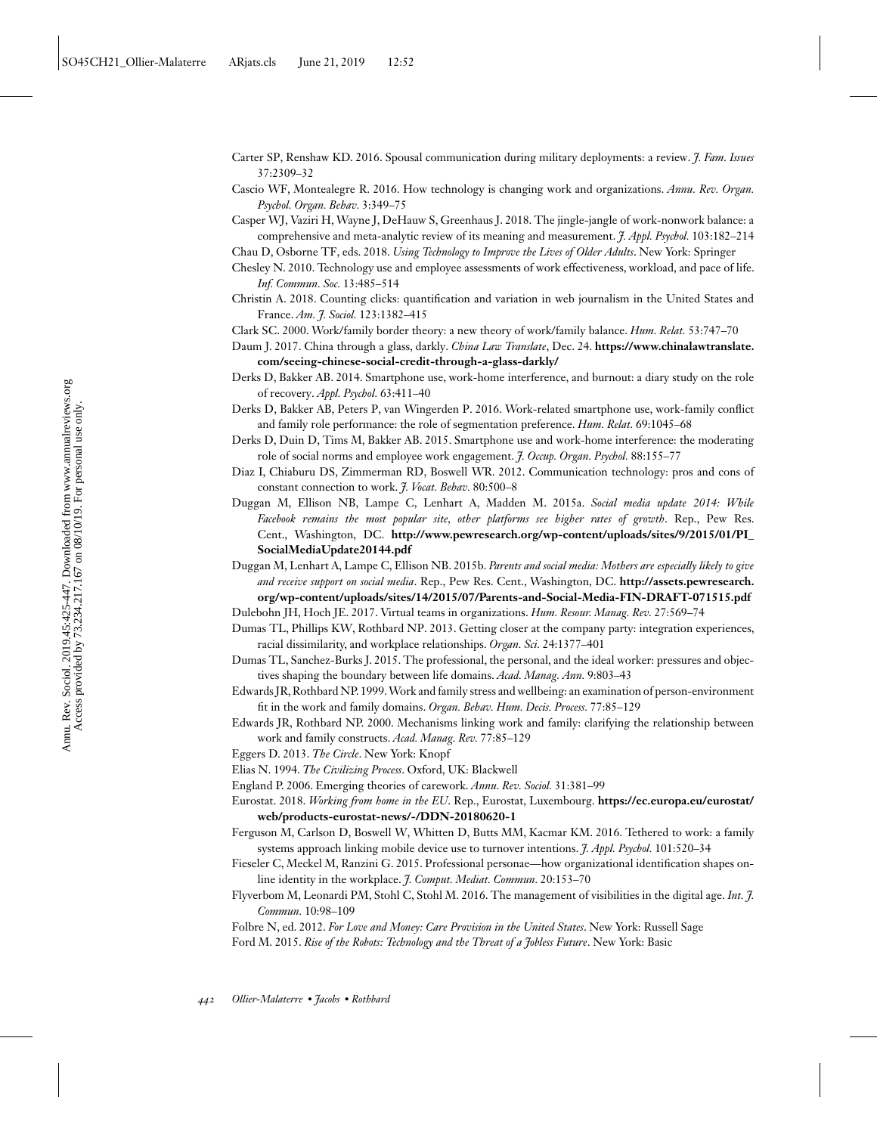- <span id="page-17-0"></span>Carter SP, Renshaw KD. 2016. Spousal communication during military deployments: a review. *J. Fam. Issues* 37:2309–32
- Cascio WF, Montealegre R. 2016. How technology is changing work and organizations. *Annu. Rev. Organ. Psychol. Organ. Behav.* 3:349–75

Casper WJ, Vaziri H, Wayne J, DeHauw S, Greenhaus J. 2018. The jingle-jangle of work-nonwork balance: a comprehensive and meta-analytic review of its meaning and measurement. *J. Appl. Psychol.* 103:182–214

Chau D, Osborne TF, eds. 2018. *Using Technology to Improve the Lives of Older Adults*. New York: Springer

- Christin A. 2018. Counting clicks: quantification and variation in web journalism in the United States and France. *Am. J. Sociol.* 123:1382–415
- Clark SC. 2000. Work/family border theory: a new theory of work/family balance. *Hum. Relat.* 53:747–70
- Daum J. 2017. China through a glass, darkly. *China Law Translate*, Dec. 24. **https://www.chinalawtranslate. [com/seeing-chinese-social-credit-through-a-glass-darkly/](https://www.chinalawtranslate.com/seeing-chinese-social-credit-through-a-glass-darkly/)**
- Derks D, Bakker AB. 2014. Smartphone use, work-home interference, and burnout: a diary study on the role of recovery. *Appl. Psychol.* 63:411–40
- Derks D, Bakker AB, Peters P, van Wingerden P. 2016. Work-related smartphone use, work-family conflict and family role performance: the role of segmentation preference. *Hum. Relat.* 69:1045–68
- Derks D, Duin D, Tims M, Bakker AB. 2015. Smartphone use and work-home interference: the moderating role of social norms and employee work engagement. *J. Occup. Organ. Psychol.* 88:155–77
- Diaz I, Chiaburu DS, Zimmerman RD, Boswell WR. 2012. Communication technology: pros and cons of constant connection to work. *J. Vocat. Behav.* 80:500–8
- Duggan M, Ellison NB, Lampe C, Lenhart A, Madden M. 2015a. *Social media update 2014: While Facebook remains the most popular site, other platforms see higher rates of growth*. Rep., Pew Res. Cent., Washington, DC. **[http://www.pewresearch.org/wp-content/uploads/sites/9/2015/01/PI\\_](http://www.pewresearch.org/wp-content/uploads/sites/9/2015/01/PI_SocialMediaUpdate20144.pdf) SocialMediaUpdate20144.pdf**
- Duggan M, Lenhart A, Lampe C, Ellison NB. 2015b. *Parents and social media: Mothers are especially likely to give and receive support on social media*. Rep., Pew Res. Cent., Washington, DC. **http://assets.pewresearch. [org/wp-content/uploads/sites/14/2015/07/Parents-and-Social-Media-FIN-DRAFT-071515.pdf](http://assets.pewresearch.org/wp-content/uploads/sites/14/2015/07/Parents-and-Social-Media-FIN-DRAFT-071515.pdf)**
- Dulebohn JH, Hoch JE. 2017. Virtual teams in organizations. *Hum. Resour. Manag. Rev.* 27:569–74
- Dumas TL, Phillips KW, Rothbard NP. 2013. Getting closer at the company party: integration experiences, racial dissimilarity, and workplace relationships. *Organ. Sci.* 24:1377–401
- Dumas TL, Sanchez-Burks J. 2015. The professional, the personal, and the ideal worker: pressures and objectives shaping the boundary between life domains. *Acad. Manag. Ann.* 9:803–43
- Edwards JR, Rothbard NP. 1999.Work and family stress and wellbeing: an examination of person-environment fit in the work and family domains. *Organ. Behav. Hum. Decis. Process.* 77:85–129
- Edwards JR, Rothbard NP. 2000. Mechanisms linking work and family: clarifying the relationship between work and family constructs. *Acad. Manag. Rev.* 77:85–129
- Eggers D. 2013. *The Circle*. New York: Knopf
- Elias N. 1994. *The Civilizing Process*. Oxford, UK: Blackwell
- England P. 2006. Emerging theories of carework. *Annu. Rev. Sociol.* 31:381–99
- Eurostat. 2018. *Working from home in the EU*. Rep., Eurostat, Luxembourg. **https://ec.europa.eu/eurostat/ [web/products-eurostat-news/-/DDN-20180620-1](https://ec.europa.eu/eurostat/web/products-eurostat-news/-/DDN-20180620-1)**
- Ferguson M, Carlson D, Boswell W, Whitten D, Butts MM, Kacmar KM. 2016. Tethered to work: a family systems approach linking mobile device use to turnover intentions. *J. Appl. Psychol.* 101:520–34
- Fieseler C, Meckel M, Ranzini G. 2015. Professional personae—how organizational identification shapes online identity in the workplace. *J. Comput. Mediat. Commun.* 20:153–70
- Flyverbom M, Leonardi PM, Stohl C, Stohl M. 2016. The management of visibilities in the digital age. *Int. J. Commun.* 10:98–109
- Folbre N, ed. 2012. *For Love and Money: Care Provision in the United States*. New York: Russell Sage Ford M. 2015. *Rise of the Robots: Technology and the Threat of a Jobless Future*. New York: Basic

Chesley N. 2010. Technology use and employee assessments of work effectiveness, workload, and pace of life. *Inf. Commun. Soc.* 13:485–514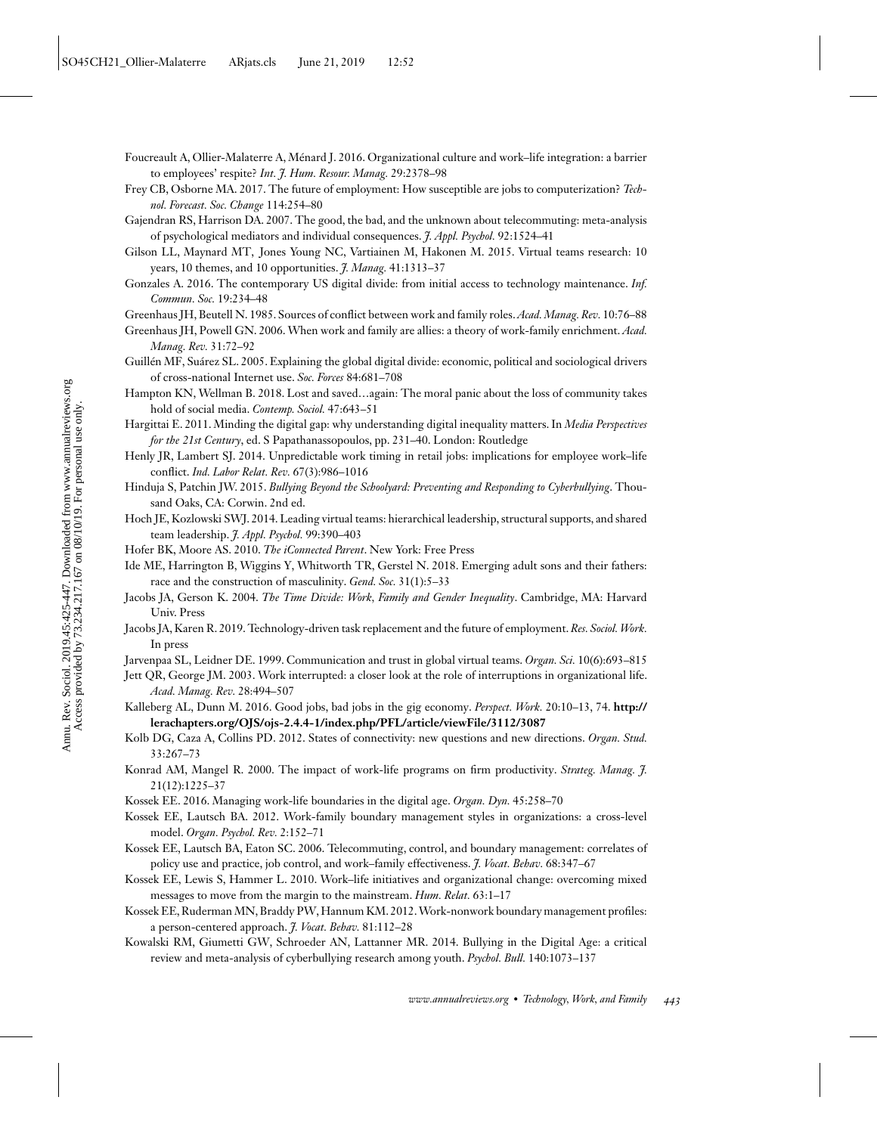- <span id="page-18-0"></span>Foucreault A, Ollier-Malaterre A, Ménard J. 2016. Organizational culture and work–life integration: a barrier to employees' respite? *Int. J. Hum. Resour. Manag.* 29:2378–98
- Frey CB, Osborne MA. 2017. The future of employment: How susceptible are jobs to computerization? *Technol. Forecast. Soc. Change* 114:254–80

Gajendran RS, Harrison DA. 2007. The good, the bad, and the unknown about telecommuting: meta-analysis of psychological mediators and individual consequences. *J. Appl. Psychol.* 92:1524–41

- Gilson LL, Maynard MT, Jones Young NC, Vartiainen M, Hakonen M. 2015. Virtual teams research: 10 years, 10 themes, and 10 opportunities. *J. Manag.* 41:1313–37
- Gonzales A. 2016. The contemporary US digital divide: from initial access to technology maintenance. *Inf. Commun. Soc.* 19:234–48
- Greenhaus JH, Beutell N. 1985. Sources of conflict between work and family roles.*Acad. Manag. Rev.* 10:76–88
- Greenhaus JH, Powell GN. 2006.When work and family are allies: a theory of work-family enrichment. *Acad. Manag. Rev.* 31:72–92
- Guillén MF, Suárez SL. 2005. Explaining the global digital divide: economic, political and sociological drivers of cross-national Internet use. *Soc. Forces* 84:681–708
- Hampton KN, Wellman B. 2018. Lost and saved…again: The moral panic about the loss of community takes hold of social media. *Contemp. Sociol.* 47:643–51
- Hargittai E. 2011. Minding the digital gap: why understanding digital inequality matters. In *Media Perspectives for the 21st Century*, ed. S Papathanassopoulos, pp. 231–40. London: Routledge
- Henly JR, Lambert SJ. 2014. Unpredictable work timing in retail jobs: implications for employee work–life conflict. *Ind. Labor Relat. Rev.* 67(3):986–1016
- Hinduja S, Patchin JW. 2015. *Bullying Beyond the Schoolyard: Preventing and Responding to Cyberbullying*. Thousand Oaks, CA: Corwin. 2nd ed.
- Hoch JE, Kozlowski SWJ. 2014. Leading virtual teams: hierarchical leadership, structural supports, and shared team leadership. *J. Appl. Psychol.* 99:390–403
- Hofer BK, Moore AS. 2010. *The iConnected Parent*. New York: Free Press
- Ide ME, Harrington B, Wiggins Y, Whitworth TR, Gerstel N. 2018. Emerging adult sons and their fathers: race and the construction of masculinity. *Gend. Soc.* 31(1):5–33
- Jacobs JA, Gerson K. 2004. *The Time Divide: Work, Family and Gender Inequality*. Cambridge, MA: Harvard Univ. Press
- Jacobs JA, Karen R. 2019. Technology-driven task replacement and the future of employment. *Res. Sociol.Work.* In press
- Jarvenpaa SL, Leidner DE. 1999. Communication and trust in global virtual teams. *Organ. Sci.* 10(6):693–815
- Jett QR, George JM. 2003. Work interrupted: a closer look at the role of interruptions in organizational life. *Acad. Manag. Rev.* 28:494–507
- Kalleberg AL, Dunn M. 2016. Good jobs, bad jobs in the gig economy. *Perspect. Work.* 20:10–13, 74. **http:// [lerachapters.org/OJS/ojs-2.4.4-1/index.php/PFL/article/viewFile/3112/3087](http://lerachapters.org/OJS/ojs-2.4.4-1/index.php/PFL/article/viewFile/3112/3087)**
- Kolb DG, Caza A, Collins PD. 2012. States of connectivity: new questions and new directions. *Organ. Stud.* 33:267–73
- Konrad AM, Mangel R. 2000. The impact of work-life programs on firm productivity. *Strateg. Manag. J.* 21(12):1225–37
- Kossek EE. 2016. Managing work-life boundaries in the digital age. *Organ. Dyn.* 45:258–70
- Kossek EE, Lautsch BA. 2012. Work-family boundary management styles in organizations: a cross-level model. *Organ. Psychol. Rev.* 2:152–71
- Kossek EE, Lautsch BA, Eaton SC. 2006. Telecommuting, control, and boundary management: correlates of policy use and practice, job control, and work–family effectiveness. *J. Vocat. Behav.* 68:347–67
- Kossek EE, Lewis S, Hammer L. 2010. Work–life initiatives and organizational change: overcoming mixed messages to move from the margin to the mainstream. *Hum. Relat.* 63:1–17
- Kossek EE, Ruderman MN, Braddy PW,Hannum KM. 2012.Work-nonwork boundary management profiles: a person-centered approach. *J. Vocat. Behav.* 81:112–28
- Kowalski RM, Giumetti GW, Schroeder AN, Lattanner MR. 2014. Bullying in the Digital Age: a critical review and meta-analysis of cyberbullying research among youth. *Psychol. Bull.* 140:1073–137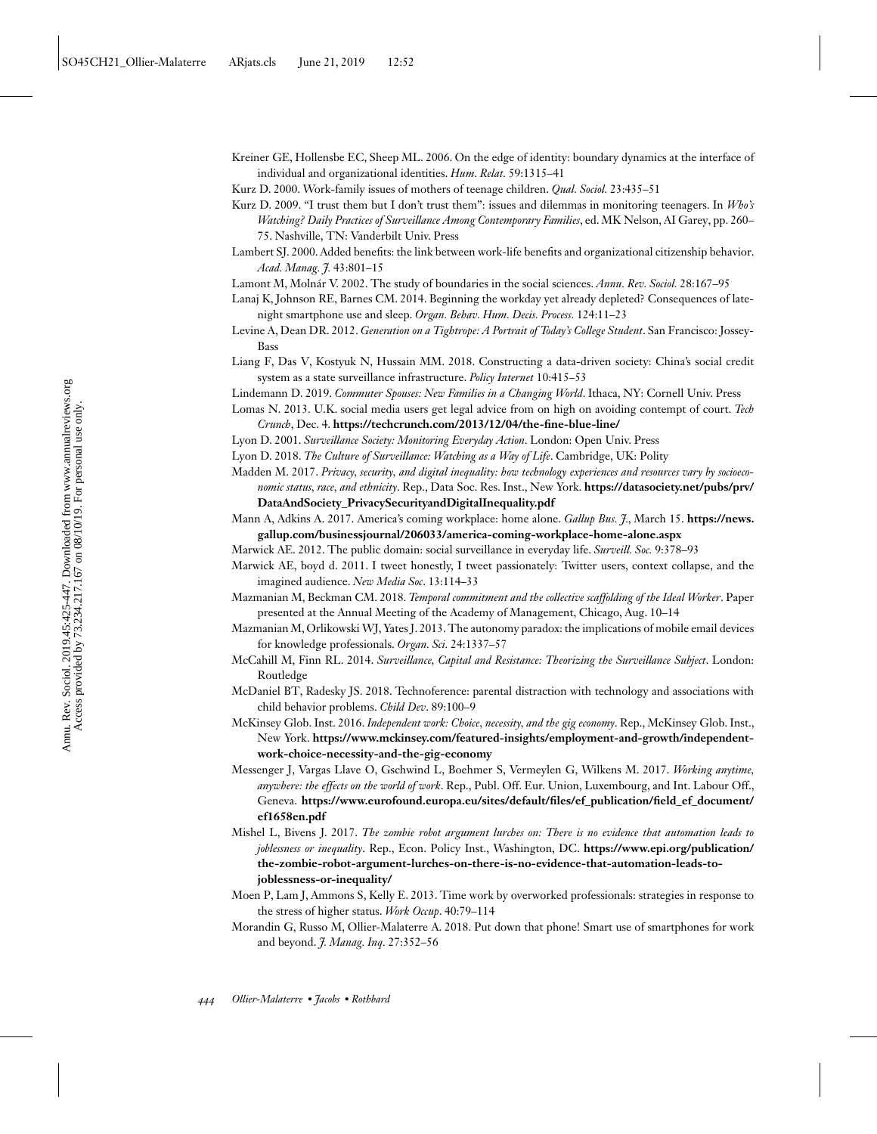- <span id="page-19-0"></span>Kreiner GE, Hollensbe EC, Sheep ML. 2006. On the edge of identity: boundary dynamics at the interface of individual and organizational identities. *Hum. Relat.* 59:1315–41
- Kurz D. 2000. Work-family issues of mothers of teenage children. *Qual. Sociol.* 23:435–51
- Kurz D. 2009. "I trust them but I don't trust them": issues and dilemmas in monitoring teenagers. In *Who's Watching? Daily Practices of Surveillance Among Contemporary Families*, ed. MK Nelson, AI Garey, pp. 260– 75. Nashville, TN: Vanderbilt Univ. Press
- Lambert SJ. 2000. Added benefits: the link between work-life benefits and organizational citizenship behavior. *Acad. Manag. J.* 43:801–15
- Lamont M, Molnár V. 2002. The study of boundaries in the social sciences. *Annu. Rev. Sociol.* 28:167–95
- Lanaj K, Johnson RE, Barnes CM. 2014. Beginning the workday yet already depleted? Consequences of latenight smartphone use and sleep. *Organ. Behav. Hum. Decis. Process.* 124:11–23
- Levine A, Dean DR. 2012. *Generation on a Tightrope: A Portrait of Today's College Student*. San Francisco: Jossey-Bass
- Liang F, Das V, Kostyuk N, Hussain MM. 2018. Constructing a data-driven society: China's social credit system as a state surveillance infrastructure. *Policy Internet* 10:415–53
- Lindemann D. 2019. *Commuter Spouses: New Families in a Changing World*. Ithaca, NY: Cornell Univ. Press
- Lomas N. 2013. U.K. social media users get legal advice from on high on avoiding contempt of court. *Tech Crunch*, Dec. 4. **<https://techcrunch.com/2013/12/04/the-fine-blue-line/>**
- Lyon D. 2001. *Surveillance Society: Monitoring Everyday Action*. London: Open Univ. Press
- Lyon D. 2018. *The Culture of Surveillance: Watching as a Way of Life*. Cambridge, UK: Polity
- Madden M. 2017. *Privacy, security, and digital inequality: how technology experiences and resources vary by socioeconomic status, race, and ethnicity*. Rep., Data Soc. Res. Inst., New York. **https://datasociety.net/pubs/prv/ [DataAndSociety\\_PrivacySecurityandDigitalInequality.pdf](https://datasociety.net/pubs/prv/DataAndSociety_PrivacySecurityandDigitalInequality.pdf)**
- Mann A, Adkins A. 2017. America's coming workplace: home alone. *Gallup Bus. J.*, March 15. **https://news. [gallup.com/businessjournal/206033/america-coming-workplace-home-alone.aspx](https://news.gallup.com/businessjournal/206033/america-coming-workplace-home-alone.aspx)**
- Marwick AE. 2012. The public domain: social surveillance in everyday life. *Surveill. Soc.* 9:378–93
- Marwick AE, boyd d. 2011. I tweet honestly, I tweet passionately: Twitter users, context collapse, and the imagined audience. *New Media Soc*. 13:114–33
- Mazmanian M, Beckman CM. 2018. *Temporal commitment and the collective scaffolding of the Ideal Worker*. Paper presented at the Annual Meeting of the Academy of Management, Chicago, Aug. 10–14
- Mazmanian M, Orlikowski WJ, Yates J. 2013. The autonomy paradox: the implications of mobile email devices for knowledge professionals. *Organ. Sci.* 24:1337–57
- McCahill M, Finn RL. 2014. *Surveillance, Capital and Resistance: Theorizing the Surveillance Subject*. London: Routledge
- McDaniel BT, Radesky JS. 2018. Technoference: parental distraction with technology and associations with child behavior problems. *Child Dev*. 89:100–9
- McKinsey Glob. Inst. 2016. *Independent work: Choice, necessity, and the gig economy*. Rep., McKinsey Glob. Inst., New York. **[https://www.mckinsey.com/featured-insights/employment-and-growth/independent](https://www.mckinsey.com/featured-insights/employment-and-growth/independent-work-choice-necessity-and-the-gig-economy)work-choice-necessity-and-the-gig-economy**
- Messenger J, Vargas Llave O, Gschwind L, Boehmer S, Vermeylen G, Wilkens M. 2017. *Working anytime, anywhere: the effects on the world of work*. Rep., Publ. Off. Eur. Union, Luxembourg, and Int. Labour Off., Geneva. **[https://www.eurofound.europa.eu/sites/default/files/ef\\_publication/field\\_ef\\_document/](https://www.eurofound.europa.eu/sites/default/files/ef_publication/field_ef_document/ef1658en.pdf) ef1658en.pdf**
- Mishel L, Bivens J. 2017. *The zombie robot argument lurches on: There is no evidence that automation leads to joblessness or inequality*. Rep., Econ. Policy Inst., Washington, DC. **https://www.epi.org/publication/ [the-zombie-robot-argument-lurches-on-there-is-no-evidence-that-automation-leads-to](https://www.epi.org/publication/the-zombie-robot-argument-lurches-on-there-is-no-evidence-that-automation-leads-to-joblessness-or-inequality/)joblessness-or-inequality/**
- Moen P, Lam J, Ammons S, Kelly E. 2013. Time work by overworked professionals: strategies in response to the stress of higher status. *Work Occup*. 40:79–114
- Morandin G, Russo M, Ollier-Malaterre A. 2018. Put down that phone! Smart use of smartphones for work and beyond. *J. Manag. Inq.* 27:352–56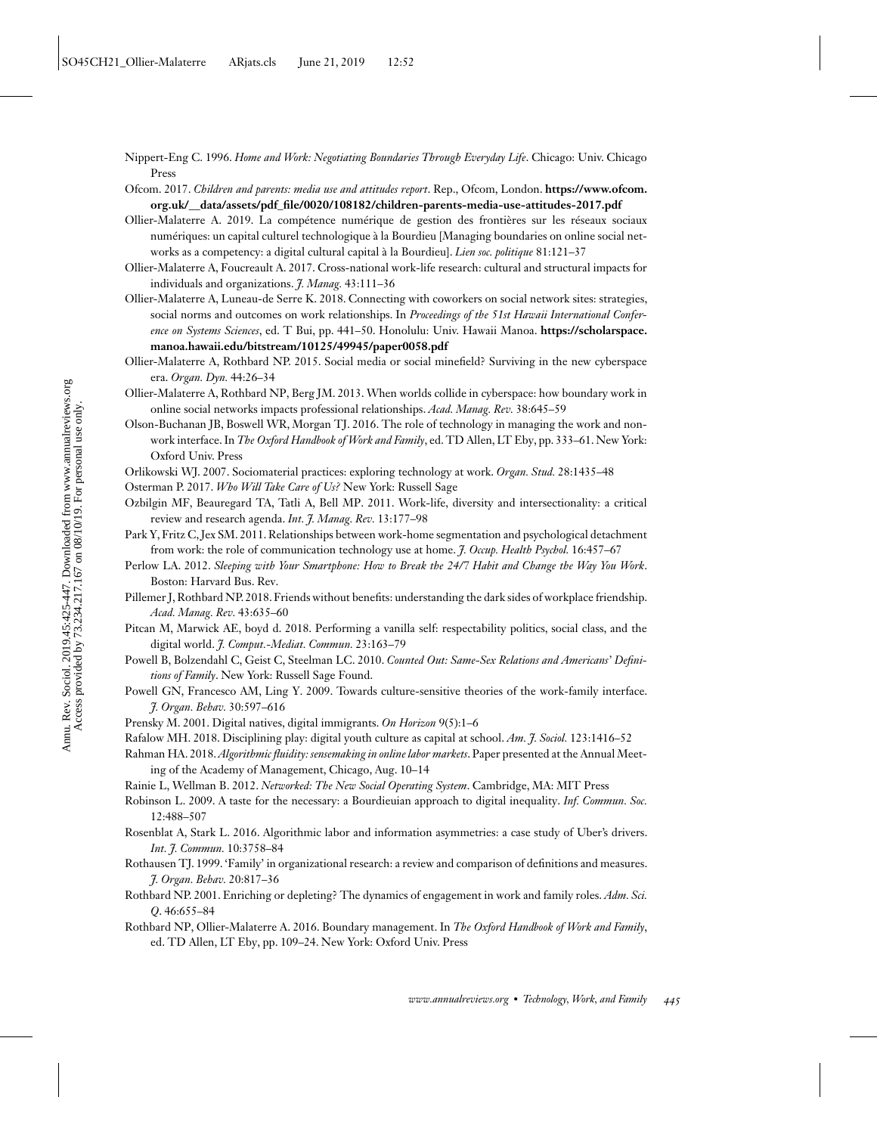- <span id="page-20-0"></span>Nippert-Eng C. 1996. *Home and Work: Negotiating Boundaries Through Everyday Life*. Chicago: Univ. Chicago Press
- Ofcom. 2017. *Children and parents: media use and attitudes report*. Rep., Ofcom, London. **https://www.ofcom. [org.uk/\\_\\_data/assets/pdf\\_file/0020/108182/children-parents-media-use-attitudes-2017.pdf](https://www.ofcom.org.uk/__data/assets/pdf_file/0020/108182/children-parents-media-use-attitudes-2017.pdf )**
- Ollier-Malaterre A. 2019. La compétence numérique de gestion des frontières sur les réseaux sociaux numériques: un capital culturel technologique à la Bourdieu [Managing boundaries on online social networks as a competency: a digital cultural capital à la Bourdieu]. *Lien soc. politique* 81:121–37
- Ollier-Malaterre A, Foucreault A. 2017. Cross-national work-life research: cultural and structural impacts for individuals and organizations. *J. Manag.* 43:111–36
- Ollier-Malaterre A, Luneau-de Serre K. 2018. Connecting with coworkers on social network sites: strategies, social norms and outcomes on work relationships. In *Proceedings of the 51st Hawaii International Conference on Systems Sciences*, ed. T Bui, pp. 441–50. Honolulu: Univ. Hawaii Manoa. **https://scholarspace. [manoa.hawaii.edu/bitstream/10125/49945/paper0058.pdf](https://scholarspace.manoa.hawaii.edu/bitstream/10125/49945/paper0058.pdf)**
- Ollier-Malaterre A, Rothbard NP. 2015. Social media or social minefield? Surviving in the new cyberspace era. *Organ. Dyn.* 44:26–34
- Ollier-Malaterre A, Rothbard NP, Berg JM. 2013. When worlds collide in cyberspace: how boundary work in online social networks impacts professional relationships. *Acad. Manag. Rev.* 38:645–59
- Olson-Buchanan JB, Boswell WR, Morgan TJ. 2016. The role of technology in managing the work and nonwork interface. In *The Oxford Handbook of Work and Family*, ed. TD Allen, LT Eby, pp. 333–61. New York: Oxford Univ. Press
- Orlikowski WJ. 2007. Sociomaterial practices: exploring technology at work. *Organ. Stud.* 28:1435–48
- Osterman P. 2017. *Who Will Take Care of Us?* New York: Russell Sage
- Ozbilgin MF, Beauregard TA, Tatli A, Bell MP. 2011. Work-life, diversity and intersectionality: a critical review and research agenda. *Int. J. Manag. Rev.* 13:177–98
- Park Y, Fritz C, Jex SM. 2011. Relationships between work-home segmentation and psychological detachment from work: the role of communication technology use at home. *J. Occup. Health Psychol.* 16:457–67
- Perlow LA. 2012. *Sleeping with Your Smartphone: How to Break the 24/7 Habit and Change the Way You Work*. Boston: Harvard Bus. Rev.
- Pillemer J, Rothbard NP. 2018. Friends without benefits: understanding the dark sides of workplace friendship. *Acad. Manag. Rev.* 43:635–60
- Pitcan M, Marwick AE, boyd d. 2018. Performing a vanilla self: respectability politics, social class, and the digital world. *J. Comput.-Mediat. Commun.* 23:163–79
- Powell B, Bolzendahl C, Geist C, Steelman LC. 2010. *Counted Out: Same-Sex Relations and Americans' Definitions of Family*. New York: Russell Sage Found.
- Powell GN, Francesco AM, Ling Y. 2009. Towards culture-sensitive theories of the work-family interface. *J. Organ. Behav.* 30:597–616
- Prensky M. 2001. Digital natives, digital immigrants. *On Horizon* 9(5):1–6
- Rafalow MH. 2018. Disciplining play: digital youth culture as capital at school. *Am. J. Sociol.* 123:1416–52
- Rahman HA. 2018.*Algorithmic fluidity: sensemaking in online labor markets*. Paper presented at the Annual Meeting of the Academy of Management, Chicago, Aug. 10–14
- Rainie L, Wellman B. 2012. *Networked: The New Social Operating System*. Cambridge, MA: MIT Press
- Robinson L. 2009. A taste for the necessary: a Bourdieuian approach to digital inequality. *Inf. Commun. Soc.* 12:488–507
- Rosenblat A, Stark L. 2016. Algorithmic labor and information asymmetries: a case study of Uber's drivers. *Int. J. Commun.* 10:3758–84
- Rothausen TJ. 1999. 'Family' in organizational research: a review and comparison of definitions and measures. *J. Organ. Behav.* 20:817–36
- Rothbard NP. 2001. Enriching or depleting? The dynamics of engagement in work and family roles. *Adm. Sci. Q*. 46:655–84
- Rothbard NP, Ollier-Malaterre A. 2016. Boundary management. In *The Oxford Handbook of Work and Family*, ed. TD Allen, LT Eby, pp. 109–24. New York: Oxford Univ. Press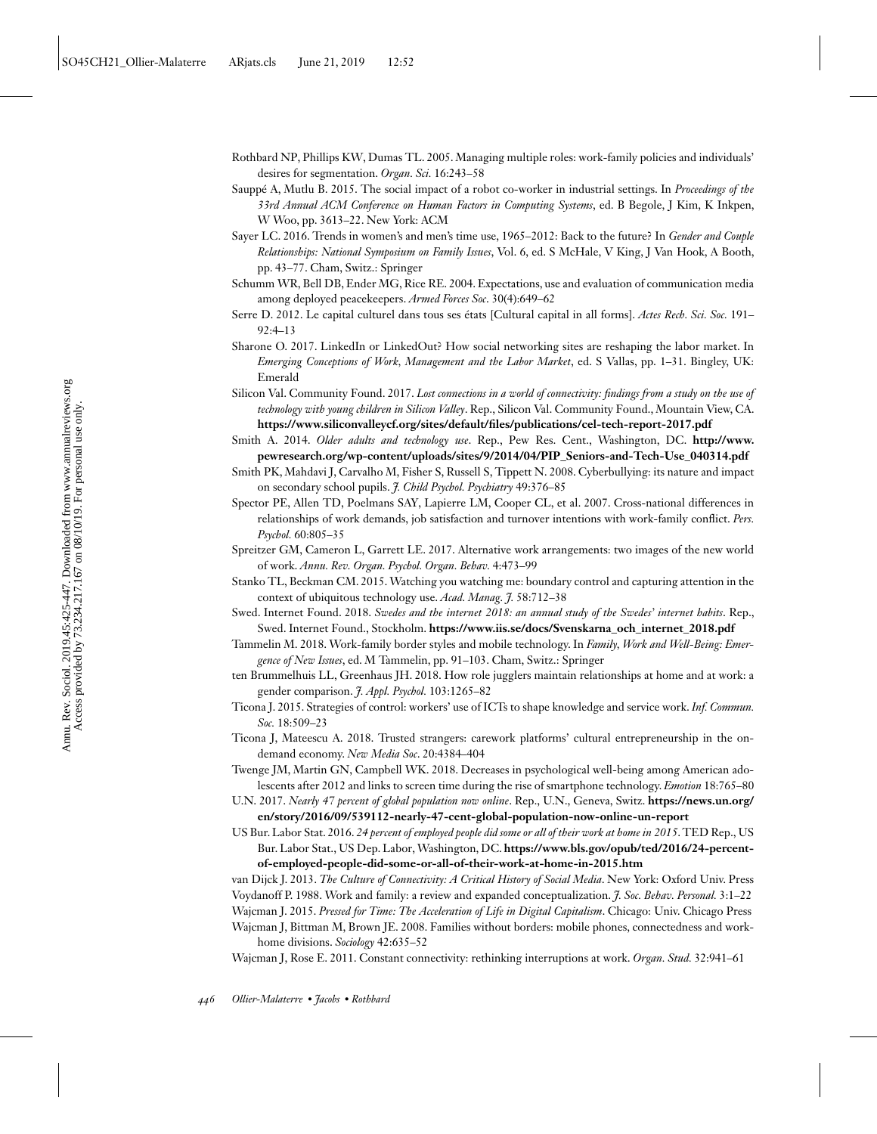- <span id="page-21-0"></span>Rothbard NP, Phillips KW, Dumas TL. 2005. Managing multiple roles: work-family policies and individuals' desires for segmentation. *Organ. Sci.* 16:243–58
- Sauppé A, Mutlu B. 2015. The social impact of a robot co-worker in industrial settings. In *Proceedings of the 33rd Annual ACM Conference on Human Factors in Computing Systems*, ed. B Begole, J Kim, K Inkpen, W Woo, pp. 3613–22. New York: ACM
- Sayer LC. 2016. Trends in women's and men's time use, 1965–2012: Back to the future? In *Gender and Couple Relationships: National Symposium on Family Issues*, Vol. 6, ed. S McHale, V King, J Van Hook, A Booth, pp. 43–77. Cham, Switz.: Springer
- Schumm WR, Bell DB, Ender MG, Rice RE. 2004. Expectations, use and evaluation of communication media among deployed peacekeepers. *Armed Forces Soc*. 30(4):649–62
- Serre D. 2012. Le capital culturel dans tous ses états [Cultural capital in all forms]. *Actes Rech. Sci. Soc.* 191– 92:4–13
- Sharone O. 2017. LinkedIn or LinkedOut? How social networking sites are reshaping the labor market. In *Emerging Conceptions of Work, Management and the Labor Market*, ed. S Vallas, pp. 1–31. Bingley, UK: Emerald
- Silicon Val. Community Found. 2017. *Lost connections in a world of connectivity: findings from a study on the use of technology with young children in Silicon Valley*. Rep., Silicon Val. Community Found., Mountain View, CA. **<https://www.siliconvalleycf.org/sites/default/files/publications/cel-tech-report-2017.pdf>**
- Smith A. 2014. *Older adults and technology use*. Rep., Pew Res. Cent., Washington, DC. **http://www. [pewresearch.org/wp-content/uploads/sites/9/2014/04/PIP\\_Seniors-and-Tech-Use\\_040314.pdf](http://www.pewresearch.org/wp-content/uploads/sites/9/2014/04/PIP_Seniors-and-Tech-Use_040314.pdf)**
- Smith PK, Mahdavi J, Carvalho M, Fisher S, Russell S, Tippett N. 2008. Cyberbullying: its nature and impact on secondary school pupils. *J. Child Psychol. Psychiatry* 49:376–85
- Spector PE, Allen TD, Poelmans SAY, Lapierre LM, Cooper CL, et al. 2007. Cross-national differences in relationships of work demands, job satisfaction and turnover intentions with work-family conflict. *Pers. Psychol.* 60:805–35
- Spreitzer GM, Cameron L, Garrett LE. 2017. Alternative work arrangements: two images of the new world of work. *Annu. Rev. Organ. Psychol. Organ. Behav.* 4:473–99
- Stanko TL, Beckman CM. 2015.Watching you watching me: boundary control and capturing attention in the context of ubiquitous technology use. *Acad. Manag. J.* 58:712–38
- Swed. Internet Found. 2018. *Swedes and the internet 2018: an annual study of the Swedes' internet habits*. Rep., Swed. Internet Found., Stockholm. **[https://www.iis.se/docs/Svenskarna\\_och\\_internet\\_2018.pdf](https://www.iis.se/docs/Svenskarna_och_internet_2018.pdf)**
- Tammelin M. 2018. Work-family border styles and mobile technology. In *Family, Work and Well-Being: Emergence of New Issues*, ed. M Tammelin, pp. 91–103. Cham, Switz.: Springer
- ten Brummelhuis LL, Greenhaus JH. 2018. How role jugglers maintain relationships at home and at work: a gender comparison. *J. Appl. Psychol.* 103:1265–82
- Ticona J. 2015. Strategies of control: workers' use of ICTs to shape knowledge and service work. *Inf. Commun. Soc.* 18:509–23
- Ticona J, Mateescu A. 2018. Trusted strangers: carework platforms' cultural entrepreneurship in the ondemand economy. *New Media Soc*. 20:4384–404
- Twenge JM, Martin GN, Campbell WK. 2018. Decreases in psychological well-being among American adolescents after 2012 and links to screen time during the rise of smartphone technology. *Emotion* 18:765–80
- U.N. 2017. *Nearly 47 percent of global population now online*. Rep., U.N., Geneva, Switz. **https://news.un.org/ [en/story/2016/09/539112-nearly-47-cent-global-population-now-online-un-report](https://news.un.org/en/story/2016/09/539112-nearly-47-cent-global-population-now-online-un-report)**
- US Bur. Labor Stat. 2016. *24 percent of employed people did some or all of their work at home in 2015*. TED Rep., US Bur. Labor Stat., US Dep. Labor,Washington, DC. **https://www.bls.gov/opub/ted/2016/24-percent[of-employed-people-did-some-or-all-of-their-work-at-home-in-2015.htm](https://www.bls.gov/opub/ted/2016/24-percent-of-employed-people-did-some-or-all-of-their-work-at-home-in-2015.htm)**

van Dijck J. 2013. *The Culture of Connectivity: A Critical History of Social Media*. New York: Oxford Univ. Press

Voydanoff P. 1988. Work and family: a review and expanded conceptualization. *J. Soc. Behav. Personal.* 3:1–22

Wajcman J. 2015. *Pressed for Time: The Acceleration of Life in Digital Capitalism*. Chicago: Univ. Chicago Press

Wajcman J, Bittman M, Brown JE. 2008. Families without borders: mobile phones, connectedness and workhome divisions. *Sociology* 42:635–52

Wajcman J, Rose E. 2011. Constant connectivity: rethinking interruptions at work. *Organ. Stud.* 32:941–61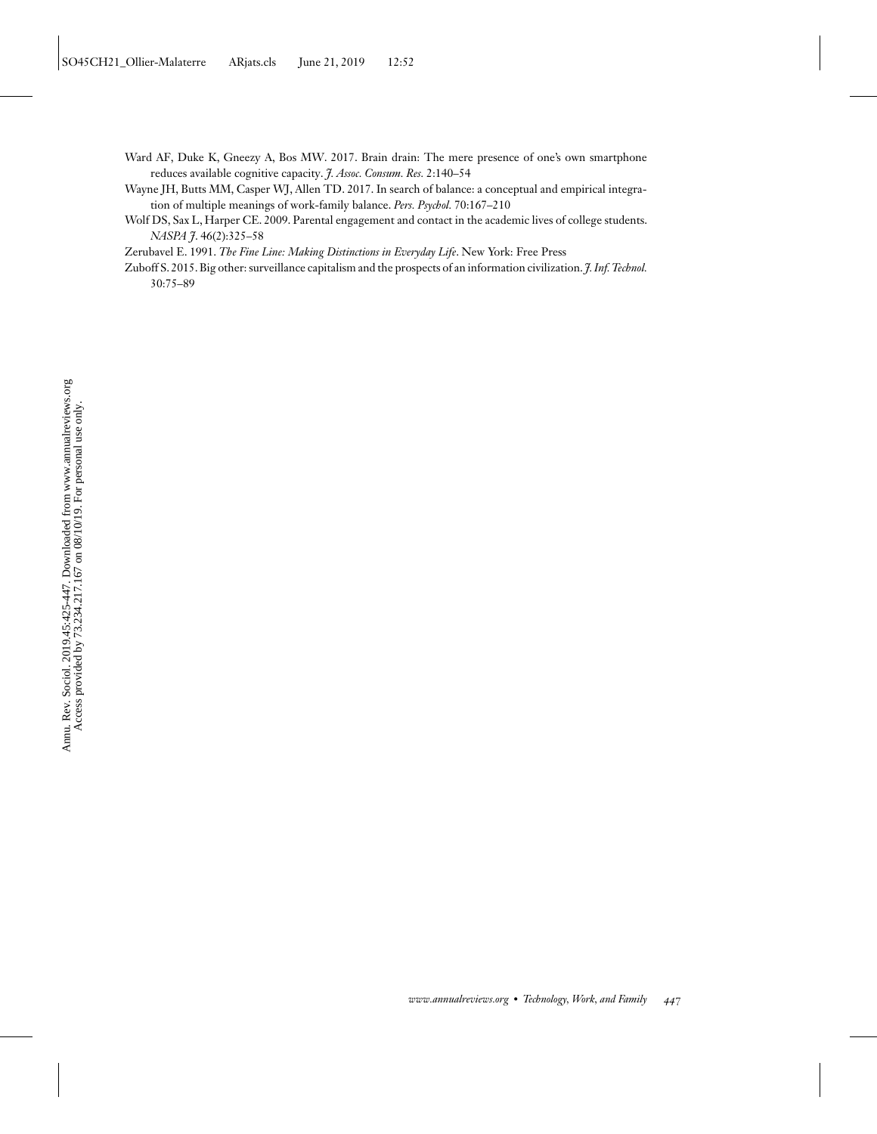- <span id="page-22-0"></span>Ward AF, Duke K, Gneezy A, Bos MW. 2017. Brain drain: The mere presence of one's own smartphone reduces available cognitive capacity. *J. Assoc. Consum. Res.* 2:140–54
- Wayne JH, Butts MM, Casper WJ, Allen TD. 2017. In search of balance: a conceptual and empirical integration of multiple meanings of work-family balance. *Pers. Psychol.* 70:167–210
- Wolf DS, Sax L, Harper CE. 2009. Parental engagement and contact in the academic lives of college students. *NASPA J*. 46(2):325–58

Zerubavel E. 1991. *The Fine Line: Making Distinctions in Everyday Life*. New York: Free Press

Zuboff S. 2015. Big other: surveillance capitalism and the prospects of an information civilization. *J. Inf. Technol.* 30:75–89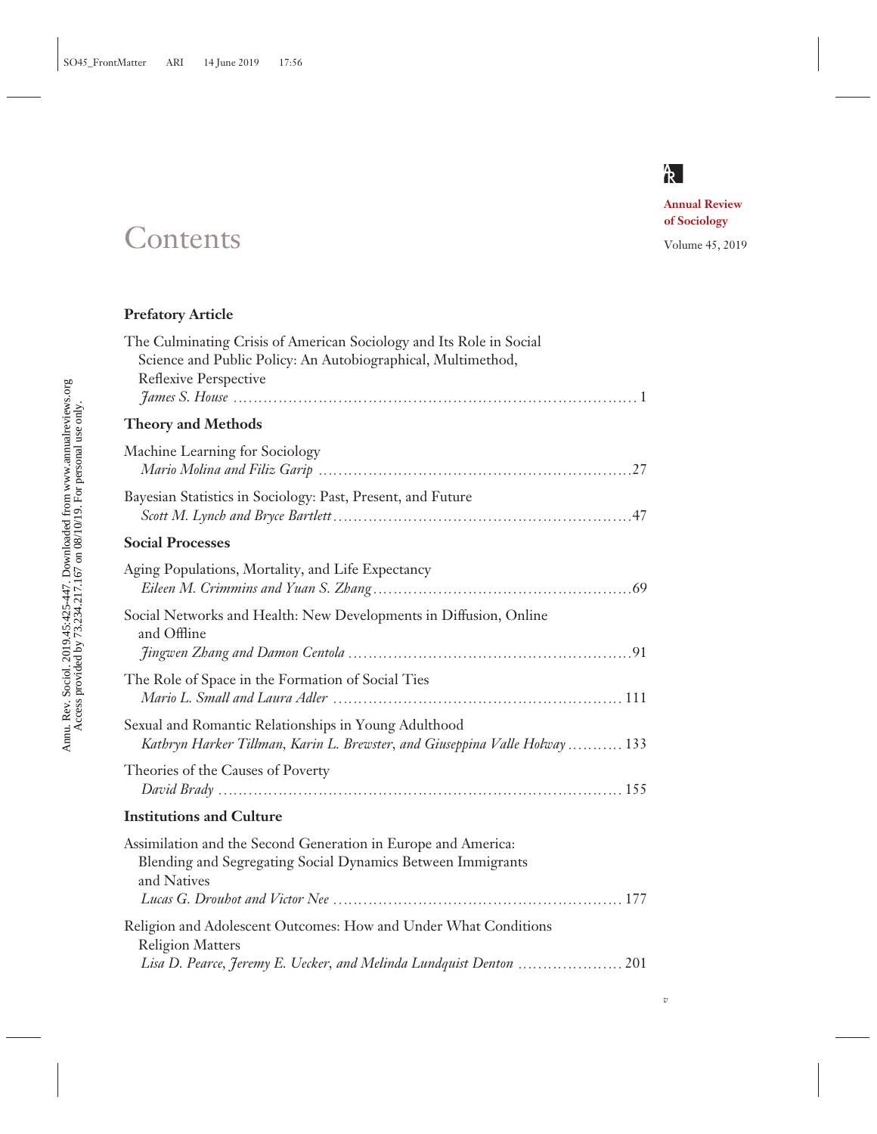

*v*

**Annual Review of Sociology**

# Contents Volume 45, 2019

### **Prefatory Article**

| The Culminating Crisis of American Sociology and Its Role in Social<br>Science and Public Policy: An Autobiographical, Multimethod,<br>Reflexive Perspective |
|--------------------------------------------------------------------------------------------------------------------------------------------------------------|
|                                                                                                                                                              |
| <b>Theory and Methods</b>                                                                                                                                    |
| Machine Learning for Sociology                                                                                                                               |
| Bayesian Statistics in Sociology: Past, Present, and Future                                                                                                  |
| <b>Social Processes</b>                                                                                                                                      |
| Aging Populations, Mortality, and Life Expectancy                                                                                                            |
| Social Networks and Health: New Developments in Diffusion, Online<br>and Offline                                                                             |
| The Role of Space in the Formation of Social Ties                                                                                                            |
| Sexual and Romantic Relationships in Young Adulthood<br>Kathryn Harker Tillman, Karin L. Brewster, and Giuseppina Valle Holway  133                          |
| Theories of the Causes of Poverty                                                                                                                            |
| <b>Institutions and Culture</b>                                                                                                                              |
| Assimilation and the Second Generation in Europe and America:<br>Blending and Segregating Social Dynamics Between Immigrants<br>and Natives                  |
| Religion and Adolescent Outcomes: How and Under What Conditions<br><b>Religion Matters</b>                                                                   |
| Lisa D. Pearce, Jeremy E. Uecker, and Melinda Lundquist Denton  201                                                                                          |